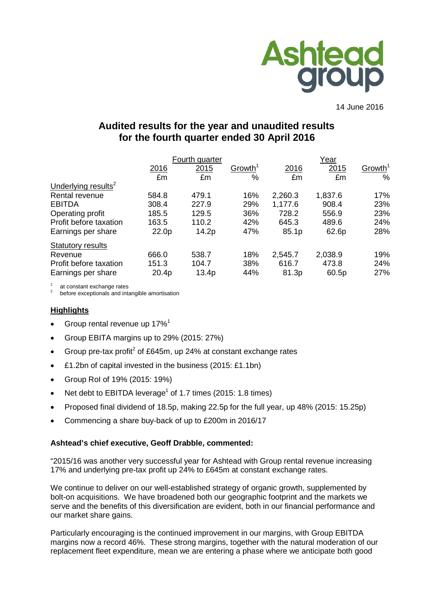

14 June 2016

# **Audited results for the year and unaudited results for the fourth quarter ended 30 April 2016**

|                                 | Fourth quarter |                     |         | Year    |                     |
|---------------------------------|----------------|---------------------|---------|---------|---------------------|
| 2016                            | 2015           | Growth <sup>1</sup> | 2016    | 2015    | Growth <sup>1</sup> |
| £m                              | £m             | %                   | £m      | £m      | $\%$                |
| Underlying results <sup>2</sup> |                |                     |         |         |                     |
| Rental revenue<br>584.8         | 479.1          | 16%                 | 2,260.3 | 1,837.6 | 17%                 |
| <b>EBITDA</b><br>308.4          | 227.9          | 29%                 | 1,177.6 | 908.4   | 23%                 |
| Operating profit<br>185.5       | 129.5          | 36%                 | 728.2   | 556.9   | 23%                 |
| Profit before taxation<br>163.5 | 110.2          | 42%                 | 645.3   | 489.6   | 24%                 |
| 22.0p<br>Earnings per share     | 14.2p          | 47%                 | 85.1p   | 62.6p   | 28%                 |
| <b>Statutory results</b>        |                |                     |         |         |                     |
| 666.0<br>Revenue                | 538.7          | 18%                 | 2,545.7 | 2,038.9 | 19%                 |
| 151.3<br>Profit before taxation | 104.7          | 38%                 | 616.7   | 473.8   | 24%                 |
| 20.4p<br>Earnings per share     | 13.4p          | 44%                 | 81.3p   | 60.5p   | 27%                 |

at constant exchange rates<br>before exceptionals and intangible amortisation

# **Highlights**

- Group rental revenue up  $17\%$ <sup>1</sup>
- Group EBITA margins up to 29% (2015: 27%)
- Group pre-tax profit<sup>2</sup> of £645m, up 24% at constant exchange rates
- £1.2bn of capital invested in the business (2015: £1.1bn)
- Group RoI of 19% (2015: 19%)
- Net debt to EBITDA leverage<sup>1</sup> of 1.7 times (2015: 1.8 times)
- Proposed final dividend of 18.5p, making 22.5p for the full year, up 48% (2015: 15.25p)
- Commencing a share buy-back of up to £200m in 2016/17

# **Ashtead's chief executive, Geoff Drabble, commented:**

"2015/16 was another very successful year for Ashtead with Group rental revenue increasing 17% and underlying pre-tax profit up 24% to £645m at constant exchange rates.

We continue to deliver on our well-established strategy of organic growth, supplemented by bolt-on acquisitions. We have broadened both our geographic footprint and the markets we serve and the benefits of this diversification are evident, both in our financial performance and our market share gains.

Particularly encouraging is the continued improvement in our margins, with Group EBITDA margins now a record 46%. These strong margins, together with the natural moderation of our replacement fleet expenditure, mean we are entering a phase where we anticipate both good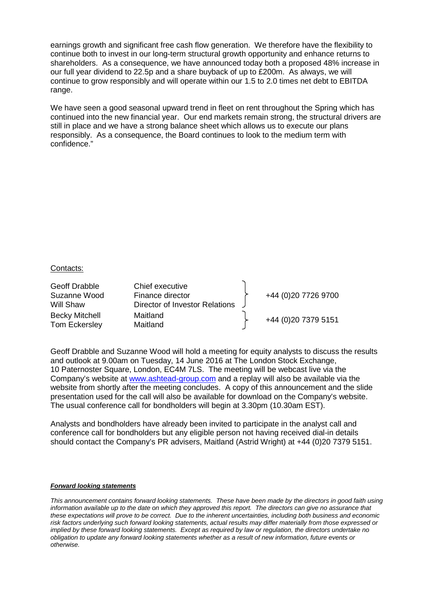earnings growth and significant free cash flow generation. We therefore have the flexibility to continue both to invest in our long-term structural growth opportunity and enhance returns to shareholders. As a consequence, we have announced today both a proposed 48% increase in our full year dividend to 22.5p and a share buyback of up to £200m. As always, we will continue to grow responsibly and will operate within our 1.5 to 2.0 times net debt to EBITDA range.

We have seen a good seasonal upward trend in fleet on rent throughout the Spring which has continued into the new financial year. Our end markets remain strong, the structural drivers are still in place and we have a strong balance sheet which allows us to execute our plans responsibly. As a consequence, the Board continues to look to the medium term with confidence."

#### Contacts:

| Geoff Drabble<br>Suzanne Wood<br>Will Shaw    | Chief executive<br>Finance director<br>Director of Investor Relations | +44 (0)20 7726 9700 |
|-----------------------------------------------|-----------------------------------------------------------------------|---------------------|
| <b>Becky Mitchell</b><br><b>Tom Eckersley</b> | Maitland<br>Maitland                                                  | +44 (0)20 7379 5151 |

Geoff Drabble and Suzanne Wood will hold a meeting for equity analysts to discuss the results and outlook at 9.00am on Tuesday, 14 June 2016 at The London Stock Exchange, 10 Paternoster Square, London, EC4M 7LS. The meeting will be webcast live via the Company's website at [www.ashtead-group.com](http://www.ashtead-group.com/) and a replay will also be available via the website from shortly after the meeting concludes. A copy of this announcement and the slide presentation used for the call will also be available for download on the Company's website. The usual conference call for bondholders will begin at 3.30pm (10.30am EST).

Analysts and bondholders have already been invited to participate in the analyst call and conference call for bondholders but any eligible person not having received dial-in details should contact the Company's PR advisers, Maitland (Astrid Wright) at +44 (0)20 7379 5151.

#### *Forward looking statements*

*This announcement contains forward looking statements. These have been made by the directors in good faith using information available up to the date on which they approved this report. The directors can give no assurance that these expectations will prove to be correct. Due to the inherent uncertainties, including both business and economic risk factors underlying such forward looking statements, actual results may differ materially from those expressed or implied by these forward looking statements. Except as required by law or regulation, the directors undertake no obligation to update any forward looking statements whether as a result of new information, future events or otherwise.*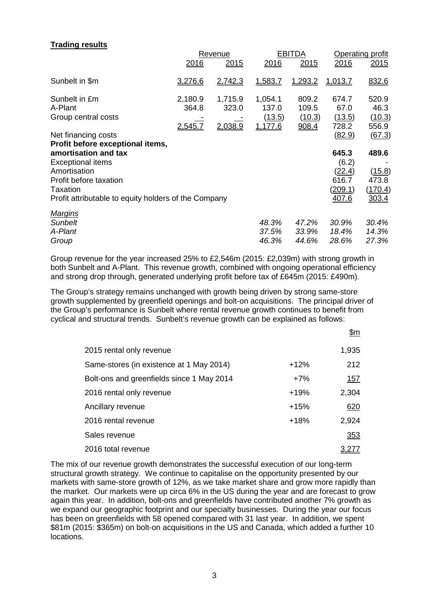# **Trading results**

|                                                                                                                                                                       | Revenue                            |                             |                                       | <b>EBITDA</b>                     | Operating profit                                             |                                              |
|-----------------------------------------------------------------------------------------------------------------------------------------------------------------------|------------------------------------|-----------------------------|---------------------------------------|-----------------------------------|--------------------------------------------------------------|----------------------------------------------|
|                                                                                                                                                                       | 2016                               | 2015                        | 2016                                  | 2015                              | 2016                                                         | 2015                                         |
| Sunbelt in \$m                                                                                                                                                        | 3,276.6                            | 2,742.3                     | 1,583.7                               | 1,293.2                           | 1,013.7                                                      | 832.6                                        |
| Sunbelt in £m<br>A-Plant<br>Group central costs                                                                                                                       | 2,180.9<br>364.8<br><u>2,545.7</u> | 1,715.9<br>323.0<br>2,038.9 | 1,054.1<br>137.0<br>(13.5)<br>1,177.6 | 809.2<br>109.5<br>(10.3)<br>908.4 | 674.7<br>67.0<br>(13.5)<br>728.2                             | 520.9<br>46.3<br>(10.3)<br>556.9             |
| Net financing costs<br>Profit before exceptional items,                                                                                                               |                                    |                             |                                       |                                   | (82.9)                                                       | (67.3)                                       |
| amortisation and tax<br><b>Exceptional items</b><br>Amortisation<br>Profit before taxation<br><b>Taxation</b><br>Profit attributable to equity holders of the Company |                                    |                             |                                       |                                   | 645.3<br>(6.2)<br>(22.4)<br>616.7<br><u>(209.1)</u><br>407.6 | 489.6<br>(15.8)<br>473.8<br>(170.4)<br>303.4 |
| <b>Margins</b>                                                                                                                                                        |                                    |                             |                                       |                                   |                                                              |                                              |
| <b>Sunbelt</b><br>A-Plant                                                                                                                                             |                                    |                             | 48.3%<br>37.5%                        | 47.2%<br>33.9%                    | 30.9%<br>18.4%                                               | 30.4%<br>14.3%                               |
| Group                                                                                                                                                                 |                                    |                             | 46.3%                                 | 44.6%                             | 28.6%                                                        | 27.3%                                        |

Group revenue for the year increased 25% to £2,546m (2015: £2,039m) with strong growth in both Sunbelt and A-Plant. This revenue growth, combined with ongoing operational efficiency and strong drop through, generated underlying profit before tax of £645m (2015: £490m).

The Group's strategy remains unchanged with growth being driven by strong same-store growth supplemented by greenfield openings and bolt-on acquisitions. The principal driver of the Group's performance is Sunbelt where rental revenue growth continues to benefit from cyclical and structural trends. Sunbelt's revenue growth can be explained as follows:

|                                           |        | \$m        |
|-------------------------------------------|--------|------------|
| 2015 rental only revenue                  |        | 1,935      |
| Same-stores (in existence at 1 May 2014)  | $+12%$ | 212        |
| Bolt-ons and greenfields since 1 May 2014 | $+7%$  | <u>157</u> |
| 2016 rental only revenue                  | $+19%$ | 2,304      |
| Ancillary revenue                         | $+15%$ | 620        |
| 2016 rental revenue                       | $+18%$ | 2,924      |
| Sales revenue                             |        | 353        |
| 2016 total revenue                        |        | 3.277      |

The mix of our revenue growth demonstrates the successful execution of our long-term structural growth strategy. We continue to capitalise on the opportunity presented by our markets with same-store growth of 12%, as we take market share and grow more rapidly than the market. Our markets were up circa 6% in the US during the year and are forecast to grow again this year. In addition, bolt-ons and greenfields have contributed another 7% growth as we expand our geographic footprint and our specialty businesses. During the year our focus has been on greenfields with 58 opened compared with 31 last year. In addition, we spent \$81m (2015: \$365m) on bolt-on acquisitions in the US and Canada, which added a further 10 locations.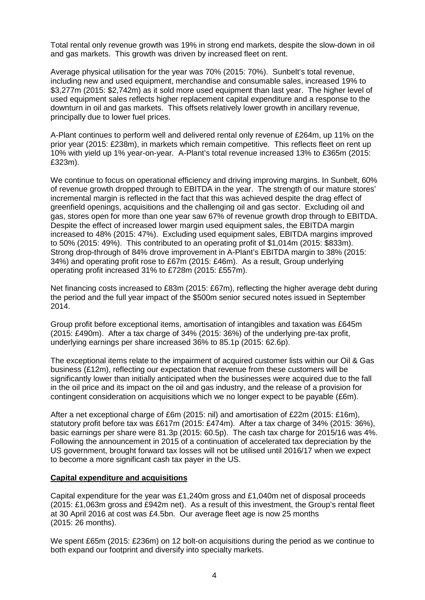Total rental only revenue growth was 19% in strong end markets, despite the slow-down in oil and gas markets. This growth was driven by increased fleet on rent.

Average physical utilisation for the year was 70% (2015: 70%). Sunbelt's total revenue, including new and used equipment, merchandise and consumable sales, increased 19% to \$3,277m (2015: \$2,742m) as it sold more used equipment than last year. The higher level of used equipment sales reflects higher replacement capital expenditure and a response to the downturn in oil and gas markets. This offsets relatively lower growth in ancillary revenue, principally due to lower fuel prices.

A-Plant continues to perform well and delivered rental only revenue of £264m, up 11% on the prior year (2015: £238m), in markets which remain competitive. This reflects fleet on rent up 10% with yield up 1% year-on-year. A-Plant's total revenue increased 13% to £365m (2015: £323m).

We continue to focus on operational efficiency and driving improving margins. In Sunbelt, 60% of revenue growth dropped through to EBITDA in the year. The strength of our mature stores' incremental margin is reflected in the fact that this was achieved despite the drag effect of greenfield openings, acquisitions and the challenging oil and gas sector. Excluding oil and gas, stores open for more than one year saw 67% of revenue growth drop through to EBITDA. Despite the effect of increased lower margin used equipment sales, the EBITDA margin increased to 48% (2015: 47%). Excluding used equipment sales, EBITDA margins improved to 50% (2015: 49%). This contributed to an operating profit of \$1,014m (2015: \$833m). Strong drop-through of 84% drove improvement in A-Plant's EBITDA margin to 38% (2015: 34%) and operating profit rose to £67m (2015: £46m). As a result, Group underlying operating profit increased 31% to £728m (2015: £557m).

Net financing costs increased to £83m (2015: £67m), reflecting the higher average debt during the period and the full year impact of the \$500m senior secured notes issued in September 2014.

Group profit before exceptional items, amortisation of intangibles and taxation was £645m (2015: £490m). After a tax charge of 34% (2015: 36%) of the underlying pre-tax profit, underlying earnings per share increased 36% to 85.1p (2015: 62.6p).

The exceptional items relate to the impairment of acquired customer lists within our Oil & Gas business (£12m), reflecting our expectation that revenue from these customers will be significantly lower than initially anticipated when the businesses were acquired due to the fall in the oil price and its impact on the oil and gas industry, and the release of a provision for contingent consideration on acquisitions which we no longer expect to be payable (£6m).

After a net exceptional charge of £6m (2015: nil) and amortisation of £22m (2015: £16m), statutory profit before tax was £617m (2015: £474m). After a tax charge of 34% (2015: 36%), basic earnings per share were 81.3p (2015: 60.5p). The cash tax charge for 2015/16 was 4%. Following the announcement in 2015 of a continuation of accelerated tax depreciation by the US government, brought forward tax losses will not be utilised until 2016/17 when we expect to become a more significant cash tax payer in the US.

# **Capital expenditure and acquisitions**

Capital expenditure for the year was £1,240m gross and £1,040m net of disposal proceeds (2015: £1,063m gross and £942m net). As a result of this investment, the Group's rental fleet at 30 April 2016 at cost was £4.5bn. Our average fleet age is now 25 months (2015: 26 months).

We spent £65m (2015: £236m) on 12 bolt-on acquisitions during the period as we continue to both expand our footprint and diversify into specialty markets.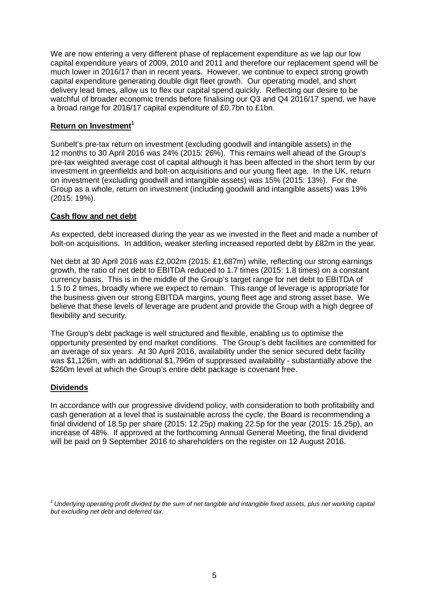We are now entering a very different phase of replacement expenditure as we lap our low capital expenditure years of 2009, 2010 and 2011 and therefore our replacement spend will be much lower in 2016/17 than in recent years. However, we continue to expect strong growth capital expenditure generating double digit fleet growth. Our operating model, and short delivery lead times, allow us to flex our capital spend quickly. Reflecting our desire to be watchful of broader economic trends before finalising our Q3 and Q4 2016/17 spend, we have a broad range for 2016/17 capital expenditure of £0.7bn to £1bn.

# **Return on Investment<sup>1</sup>**

Sunbelt's pre-tax return on investment (excluding goodwill and intangible assets) in the 12 months to 30 April 2016 was 24% (2015: 26%). This remains well ahead of the Group's pre-tax weighted average cost of capital although it has been affected in the short term by our investment in greenfields and bolt-on acquisitions and our young fleet age. In the UK, return on investment (excluding goodwill and intangible assets) was 15% (2015: 13%). For the Group as a whole, return on investment (including goodwill and intangible assets) was 19% (2015: 19%).

# **Cash flow and net debt**

As expected, debt increased during the year as we invested in the fleet and made a number of bolt-on acquisitions. In addition, weaker sterling increased reported debt by £82m in the year.

Net debt at 30 April 2016 was £2,002m (2015: £1,687m) while, reflecting our strong earnings growth, the ratio of net debt to EBITDA reduced to 1.7 times (2015: 1.8 times) on a constant currency basis. This is in the middle of the Group's target range for net debt to EBITDA of 1.5 to 2 times, broadly where we expect to remain. This range of leverage is appropriate for the business given our strong EBITDA margins, young fleet age and strong asset base. We believe that these levels of leverage are prudent and provide the Group with a high degree of flexibility and security.

The Group's debt package is well structured and flexible, enabling us to optimise the opportunity presented by end market conditions. The Group's debt facilities are committed for an average of six years. At 30 April 2016, availability under the senior secured debt facility was \$1,126m, with an additional \$1,796m of suppressed availability - substantially above the \$260m level at which the Group's entire debt package is covenant free.

# **Dividends**

In accordance with our progressive dividend policy, with consideration to both profitability and cash generation at a level that is sustainable across the cycle, the Board is recommending a final dividend of 18.5p per share (2015: 12.25p) making 22.5p for the year (2015: 15.25p), an increase of 48%. If approved at the forthcoming Annual General Meeting, the final dividend will be paid on 9 September 2016 to shareholders on the register on 12 August 2016.

*1 Underlying operating profit divided by the sum of net tangible and intangible fixed assets, plus net working capital but excluding net debt and deferred tax.*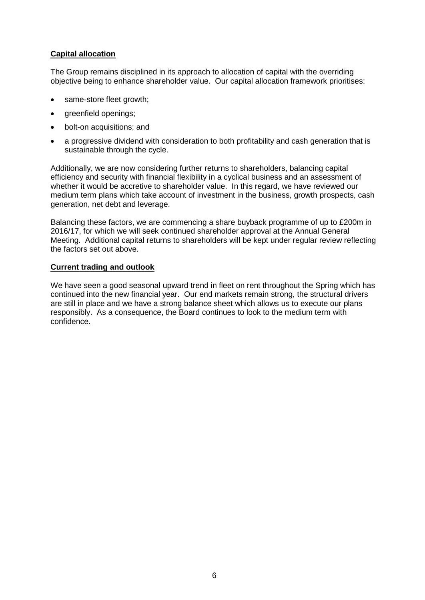# **Capital allocation**

The Group remains disciplined in its approach to allocation of capital with the overriding objective being to enhance shareholder value. Our capital allocation framework prioritises:

- same-store fleet growth:
- areenfield openings:
- bolt-on acquisitions; and
- a progressive dividend with consideration to both profitability and cash generation that is sustainable through the cycle.

Additionally, we are now considering further returns to shareholders, balancing capital efficiency and security with financial flexibility in a cyclical business and an assessment of whether it would be accretive to shareholder value. In this regard, we have reviewed our medium term plans which take account of investment in the business, growth prospects, cash generation, net debt and leverage.

Balancing these factors, we are commencing a share buyback programme of up to £200m in 2016/17, for which we will seek continued shareholder approval at the Annual General Meeting. Additional capital returns to shareholders will be kept under regular review reflecting the factors set out above.

#### **Current trading and outlook**

We have seen a good seasonal upward trend in fleet on rent throughout the Spring which has continued into the new financial year. Our end markets remain strong, the structural drivers are still in place and we have a strong balance sheet which allows us to execute our plans responsibly. As a consequence, the Board continues to look to the medium term with confidence.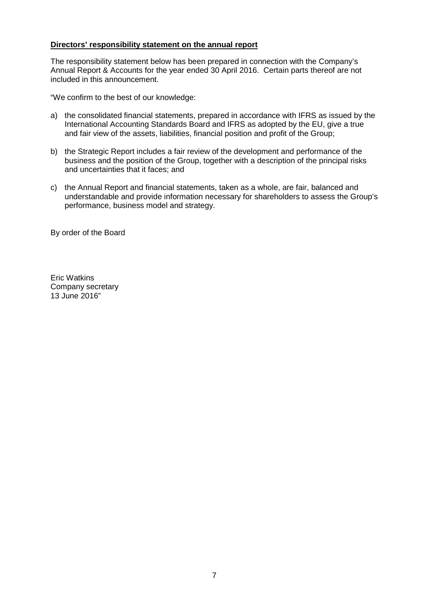# **Directors' responsibility statement on the annual report**

The responsibility statement below has been prepared in connection with the Company's Annual Report & Accounts for the year ended 30 April 2016. Certain parts thereof are not included in this announcement.

"We confirm to the best of our knowledge:

- a) the consolidated financial statements, prepared in accordance with IFRS as issued by the International Accounting Standards Board and IFRS as adopted by the EU, give a true and fair view of the assets, liabilities, financial position and profit of the Group;
- b) the Strategic Report includes a fair review of the development and performance of the business and the position of the Group, together with a description of the principal risks and uncertainties that it faces; and
- c) the Annual Report and financial statements, taken as a whole, are fair, balanced and understandable and provide information necessary for shareholders to assess the Group's performance, business model and strategy.

By order of the Board

Eric Watkins Company secretary 13 June 2016"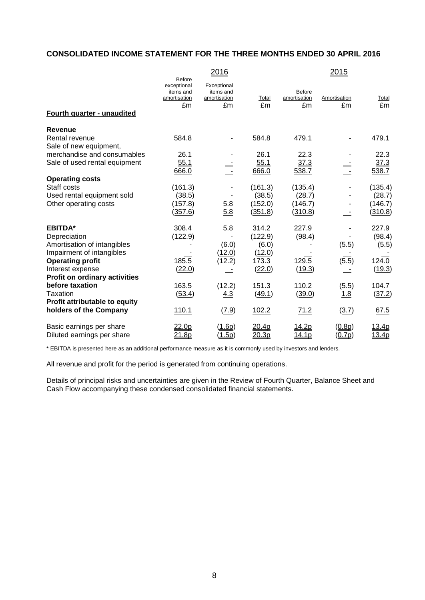# **CONSOLIDATED INCOME STATEMENT FOR THE THREE MONTHS ENDED 30 APRIL 2016**

|                               | <b>Before</b>                                  | 2016                                           |             |                                     | 2015                     |             |
|-------------------------------|------------------------------------------------|------------------------------------------------|-------------|-------------------------------------|--------------------------|-------------|
|                               | exceptional<br>items and<br>amortisation<br>£m | Exceptional<br>items and<br>amortisation<br>£m | Total<br>£m | <b>Before</b><br>amortisation<br>£m | Amortisation<br>£m       | Total<br>£m |
| Fourth quarter - unaudited    |                                                |                                                |             |                                     |                          |             |
| Revenue                       |                                                |                                                |             |                                     |                          |             |
| Rental revenue                | 584.8                                          |                                                | 584.8       | 479.1                               |                          | 479.1       |
| Sale of new equipment,        |                                                |                                                |             |                                     |                          |             |
| merchandise and consumables   | 26.1                                           |                                                | 26.1        | 22.3                                |                          | 22.3        |
| Sale of used rental equipment | 55.1                                           |                                                | 55.1        | 37.3                                |                          | 37.3        |
|                               | 666.0                                          | $\sim$ $-$                                     | 666.0       | 538.7                               | $\sim$ $-$               | 538.7       |
| <b>Operating costs</b>        |                                                |                                                |             |                                     |                          |             |
| Staff costs                   | (161.3)                                        |                                                | (161.3)     | (135.4)                             |                          | (135.4)     |
| Used rental equipment sold    | (38.5)                                         |                                                | (38.5)      | (28.7)                              |                          | (28.7)      |
| Other operating costs         | (157.8)                                        | 5.8                                            | (152.0)     | (146.7)                             | $\overline{\phantom{a}}$ | (146.7)     |
|                               | (357.6)                                        | 5.8                                            | (351.8)     | (310.8)                             |                          | (310.8)     |
| <b>EBITDA*</b>                | 308.4                                          | 5.8                                            | 314.2       | 227.9                               |                          | 227.9       |
| Depreciation                  | (122.9)                                        |                                                | (122.9)     | (98.4)                              |                          | (98.4)      |
| Amortisation of intangibles   |                                                | (6.0)                                          | (6.0)       |                                     | (5.5)                    | (5.5)       |
| Impairment of intangibles     |                                                | (12.0)                                         | (12.0)      |                                     |                          |             |
| <b>Operating profit</b>       | 185.5                                          | (12.2)                                         | 173.3       | 129.5                               | (5.5)                    | 124.0       |
| Interest expense              | (22.0)                                         |                                                | (22.0)      | (19.3)                              |                          | (19.3)      |
| Profit on ordinary activities |                                                |                                                |             |                                     |                          |             |
| before taxation               | 163.5                                          | (12.2)                                         | 151.3       | 110.2                               | (5.5)                    | 104.7       |
| Taxation                      | (53.4)                                         | <u>4.3</u>                                     | (49.1)      | (39.0)                              | 1.8                      | (37.2)      |
| Profit attributable to equity |                                                |                                                |             |                                     |                          |             |
| holders of the Company        | 110.1                                          | (7.9)                                          | 102.2       | 71.2                                | (3.7)                    | 67.5        |
| Basic earnings per share      | 22.0p                                          | ( <u>1.6p</u> )                                | 20.4p       | <u>14.2p</u>                        | (0.8p)                   | 13.4p       |
| Diluted earnings per share    | 21.8p                                          | (1.5p)                                         | 20.3p       | 14.1p                               | (0.7p)                   | 13.4p       |

\* EBITDA is presented here as an additional performance measure as it is commonly used by investors and lenders.

All revenue and profit for the period is generated from continuing operations.

Details of principal risks and uncertainties are given in the Review of Fourth Quarter, Balance Sheet and Cash Flow accompanying these condensed consolidated financial statements.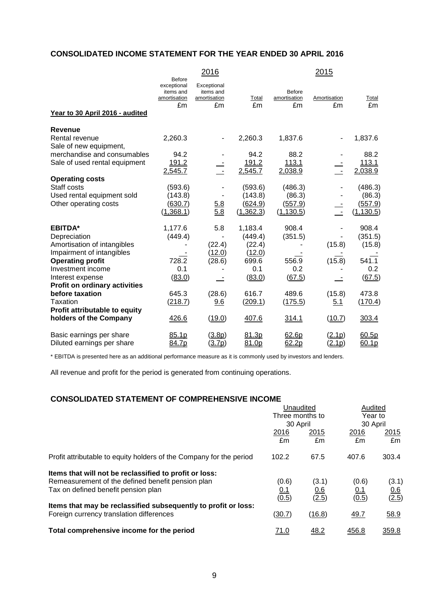# **CONSOLIDATED INCOME STATEMENT FOR THE YEAR ENDED 30 APRIL 2016**

|                                                         | <b>Before</b>                                  | <u> 2016</u>                                   |                       |                                     | <u> 2015 </u>      |                       |
|---------------------------------------------------------|------------------------------------------------|------------------------------------------------|-----------------------|-------------------------------------|--------------------|-----------------------|
| Year to 30 April 2016 - audited                         | exceptional<br>items and<br>amortisation<br>£m | Exceptional<br>items and<br>amortisation<br>£m | Total<br>£m           | <b>Before</b><br>amortisation<br>£m | Amortisation<br>£m | Total<br>£m           |
|                                                         |                                                |                                                |                       |                                     |                    |                       |
| <b>Revenue</b>                                          |                                                |                                                |                       |                                     |                    |                       |
| Rental revenue<br>Sale of new equipment,                | 2,260.3                                        |                                                | 2,260.3               | 1,837.6                             |                    | 1,837.6               |
| merchandise and consumables                             | 94.2                                           |                                                | 94.2                  | 88.2                                |                    | 88.2                  |
| Sale of used rental equipment                           | 191.2<br>2,545.7                               |                                                | 191.2<br>2,545.7      | 113.1<br>2,038.9                    | $\overline{a}$     | 113.1<br>2,038.9      |
| <b>Operating costs</b>                                  |                                                |                                                |                       |                                     |                    |                       |
| Staff costs<br>Used rental equipment sold               | (593.6)<br>(143.8)                             |                                                | (593.6)<br>(143.8)    | (486.3)<br>(86.3)                   |                    | (486.3)<br>(86.3)     |
| Other operating costs                                   | (630.7)<br>(1,368.1)                           | 5.8<br>$\overline{5.8}$                        | (624.9)<br>(1, 362.3) | (557.9)<br>(1, 130.5)               | $\sim$ $-$         | (557.9)<br>(1, 130.5) |
| <b>EBITDA*</b>                                          | 1,177.6                                        | 5.8                                            | 1,183.4               | 908.4                               |                    | 908.4                 |
| Depreciation                                            | (449.4)                                        |                                                | (449.4)               | (351.5)                             |                    | (351.5)               |
| Amortisation of intangibles                             |                                                | (22.4)                                         | (22.4)                |                                     | (15.8)             | (15.8)                |
| Impairment of intangibles                               |                                                | (12.0)                                         | (12.0)                |                                     |                    |                       |
| <b>Operating profit</b>                                 | 728.2                                          | (28.6)                                         | 699.6                 | 556.9                               | (15.8)             | 541.1                 |
| Investment income                                       | 0.1                                            |                                                | 0.1                   | 0.2                                 |                    | $0.2\,$               |
| Interest expense                                        | (83.0)                                         |                                                | (83.0)                | (67.5)                              |                    | (67.5)                |
| <b>Profit on ordinary activities</b>                    |                                                |                                                |                       |                                     |                    |                       |
| before taxation                                         | 645.3                                          | (28.6)                                         | 616.7                 | 489.6                               | (15.8)             | 473.8                 |
| Taxation                                                | (218.7)                                        | 9.6                                            | (209.1)               | (175.5)                             | 5.1                | (170.4)               |
| Profit attributable to equity<br>holders of the Company | 426.6                                          | (19.0)                                         | 407.6                 | 314.1                               | (10.7)             | 303.4                 |
| Basic earnings per share                                | 85.1p                                          | (3.8p)                                         | 81.3p                 | 62.6p                               | (2.1p)             | 60.5p                 |
| Diluted earnings per share                              | 84.7p                                          | (3.7p)                                         | 81.0p                 | 62.2p                               | (2.1p)             | 60.1p                 |

\* EBITDA is presented here as an additional performance measure as it is commonly used by investors and lenders.

All revenue and profit for the period is generated from continuing operations.

# **CONSOLIDATED STATEMENT OF COMPREHENSIVE INCOME**

|                                                                     | Unaudited<br>Three months to<br>30 April |            | Audited<br>Year to |            |
|---------------------------------------------------------------------|------------------------------------------|------------|--------------------|------------|
|                                                                     |                                          |            | 30 April           |            |
|                                                                     | 2016<br>£m                               | 2015<br>£m | 2016<br>£m         | 2015<br>£m |
| Profit attributable to equity holders of the Company for the period | 102.2                                    | 67.5       | 407.6              | 303.4      |
| Items that will not be reclassified to profit or loss:              |                                          |            |                    |            |
| Remeasurement of the defined benefit pension plan                   | (0.6)                                    | (3.1)      | (0.6)              | (3.1)      |
| Tax on defined benefit pension plan                                 | <u>0.1</u>                               | 0.6        | <u>0.1</u>         | 0.6        |
|                                                                     | (0.5)                                    | (2.5)      | (0.5)              | (2.5)      |
| Items that may be reclassified subsequently to profit or loss:      |                                          |            |                    |            |
| Foreign currency translation differences                            | (30.7)                                   | (16.8)     | 49.7               | 58.9       |
| Total comprehensive income for the period                           | <u>71.0</u>                              | 48.2       | 456.8              | 359.8      |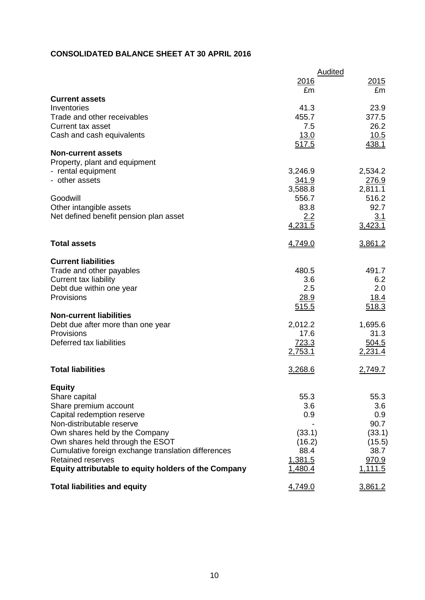# **CONSOLIDATED BALANCE SHEET AT 30 APRIL 2016**

|                                                      | Audited              |                |  |
|------------------------------------------------------|----------------------|----------------|--|
|                                                      | 2016<br>£m           | 2015<br>£m     |  |
| <b>Current assets</b>                                |                      |                |  |
| Inventories                                          | 41.3                 | 23.9           |  |
| Trade and other receivables                          | 455.7                | 377.5          |  |
| Current tax asset                                    | 7.5                  | 26.2           |  |
| Cash and cash equivalents                            | <u>13.0</u><br>517.5 | 10.5<br>438.1  |  |
| <b>Non-current assets</b>                            |                      |                |  |
| Property, plant and equipment                        |                      |                |  |
| - rental equipment                                   | 3,246.9              | 2,534.2        |  |
| - other assets                                       | 341.9                | 276.9          |  |
|                                                      | 3,588.8              | 2,811.1        |  |
| Goodwill                                             | 556.7                | 516.2          |  |
| Other intangible assets                              | 83.8                 | 92.7           |  |
| Net defined benefit pension plan asset               | 2.2<br>4,231.5       | 3.1<br>3,423.1 |  |
|                                                      |                      |                |  |
| <b>Total assets</b>                                  | 4,749.0              | 3,861.2        |  |
| <b>Current liabilities</b>                           |                      |                |  |
| Trade and other payables                             | 480.5                | 491.7          |  |
| Current tax liability                                | 3.6                  | 6.2            |  |
| Debt due within one year                             | 2.5                  | 2.0            |  |
| Provisions                                           | 28.9                 | 18.4           |  |
| <b>Non-current liabilities</b>                       | 515.5                | 518.3          |  |
| Debt due after more than one year                    | 2,012.2              | 1,695.6        |  |
| Provisions                                           | 17.6                 | 31.3           |  |
| Deferred tax liabilities                             | 723.3                | 504.5          |  |
|                                                      | 2,753.1              | 2,231.4        |  |
| <b>Total liabilities</b>                             | 3,268.6              | 2,749.7        |  |
|                                                      |                      |                |  |
| <b>Equity</b>                                        |                      |                |  |
| Share capital                                        | 55.3                 | 55.3           |  |
| Share premium account<br>Capital redemption reserve  | 3.6<br>0.9           | 3.6<br>0.9     |  |
| Non-distributable reserve                            |                      | 90.7           |  |
| Own shares held by the Company                       | (33.1)               | (33.1)         |  |
| Own shares held through the ESOT                     | (16.2)               | (15.5)         |  |
| Cumulative foreign exchange translation differences  | 88.4                 | 38.7           |  |
| <b>Retained reserves</b>                             | 1,381.5              | 970.9          |  |
| Equity attributable to equity holders of the Company | 1,480.4              | 1,111.5        |  |
| <b>Total liabilities and equity</b>                  | 4,749.0              | 3,861.2        |  |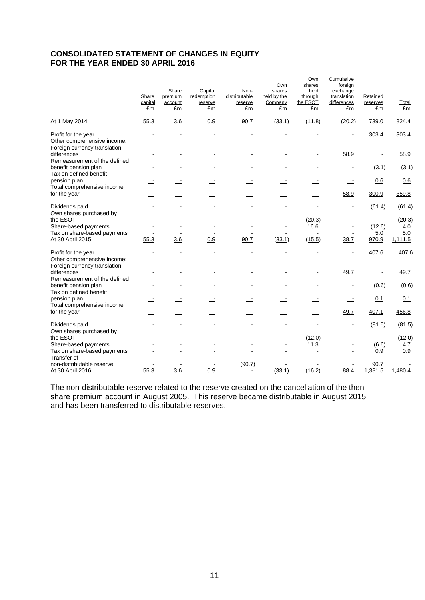# **CONSOLIDATED STATEMENT OF CHANGES IN EQUITY FOR THE YEAR ENDED 30 APRIL 2016**

|                                                                                    | Share<br>capital<br>£m | Share<br>premium<br>account<br>£m | Capital<br>redemption<br>reserve<br>£m | Non-<br>distributable<br>reserve<br>£m | Own<br>shares<br>held by the<br>Company<br>£m | Own<br>shares<br>held<br>through<br>the ESOT<br>£m | Cumulative<br>foreign<br>exchange<br>translation<br>differences<br>£m | Retained<br>reserves<br>£m | Total<br>£m    |
|------------------------------------------------------------------------------------|------------------------|-----------------------------------|----------------------------------------|----------------------------------------|-----------------------------------------------|----------------------------------------------------|-----------------------------------------------------------------------|----------------------------|----------------|
| At 1 May 2014                                                                      | 55.3                   | 3.6                               | 0.9                                    | 90.7                                   | (33.1)                                        | (11.8)                                             | (20.2)                                                                | 739.0                      | 824.4          |
| Profit for the year<br>Other comprehensive income:<br>Foreign currency translation |                        |                                   |                                        |                                        |                                               |                                                    |                                                                       | 303.4                      | 303.4          |
| differences<br>Remeasurement of the defined                                        |                        |                                   |                                        |                                        |                                               |                                                    | 58.9                                                                  |                            | 58.9           |
| benefit pension plan<br>Tax on defined benefit                                     |                        |                                   |                                        |                                        |                                               |                                                    |                                                                       | (3.1)                      | (3.1)          |
| pension plan<br>Total comprehensive income                                         |                        |                                   |                                        |                                        |                                               |                                                    |                                                                       | 0.6                        | 0.6            |
| for the year                                                                       |                        |                                   |                                        |                                        |                                               |                                                    | 58.9                                                                  | 300.9                      | 359.8          |
| Dividends paid                                                                     |                        |                                   |                                        |                                        |                                               |                                                    |                                                                       | (61.4)                     | (61.4)         |
| Own shares purchased by<br>the ESOT<br>Share-based payments                        |                        |                                   |                                        |                                        |                                               | (20.3)<br>16.6                                     |                                                                       | (12.6)                     | (20.3)<br>4.0  |
| Tax on share-based payments<br>At 30 April 2015                                    | 55.3                   | $\overline{3.6}$                  | $\overline{0.9}$                       | 90.7                                   | (33.1)                                        | (15.5)                                             | 38.7                                                                  | 5.0<br>970.9               | 5.0<br>1,111.5 |
| Profit for the year<br>Other comprehensive income:                                 |                        |                                   |                                        |                                        |                                               |                                                    |                                                                       | 407.6                      | 407.6          |
| Foreign currency translation<br>differences<br>Remeasurement of the defined        |                        |                                   |                                        |                                        |                                               |                                                    | 49.7                                                                  |                            | 49.7           |
| benefit pension plan                                                               |                        |                                   |                                        |                                        |                                               |                                                    |                                                                       | (0.6)                      | (0.6)          |
| Tax on defined benefit<br>pension plan<br>Total comprehensive income               |                        |                                   |                                        |                                        |                                               |                                                    |                                                                       | 0.1                        | 0.1            |
| for the year                                                                       |                        |                                   |                                        |                                        |                                               |                                                    | 49.7                                                                  | 407.1                      | 456.8          |
| Dividends paid<br>Own shares purchased by                                          |                        |                                   |                                        |                                        |                                               |                                                    |                                                                       | (81.5)                     | (81.5)         |
| the ESOT<br>Share-based payments                                                   |                        |                                   |                                        |                                        |                                               | (12.0)<br>11.3                                     |                                                                       | (6.6)                      | (12.0)<br>4.7  |
| Tax on share-based payments<br>Transfer of                                         |                        |                                   |                                        |                                        |                                               |                                                    |                                                                       | 0.9                        | 0.9            |
| non-distributable reserve<br>At 30 April 2016                                      | 55.3                   | $\overline{3.6}$                  | 0.9                                    | (90.7)                                 | (33.1)                                        | (16.2)                                             | $88.\overline{4}$                                                     | 90.7<br>1,381.5            | 1,480.4        |

The non-distributable reserve related to the reserve created on the cancellation of the then share premium account in August 2005. This reserve became distributable in August 2015 and has been transferred to distributable reserves.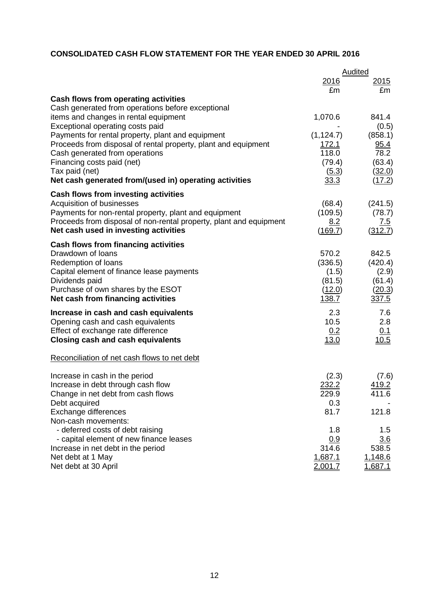# **CONSOLIDATED CASH FLOW STATEMENT FOR THE YEAR ENDED 30 APRIL 2016**

|                                                                                                  | Audited               |                  |  |
|--------------------------------------------------------------------------------------------------|-----------------------|------------------|--|
|                                                                                                  | <u>2016</u>           | 2015             |  |
|                                                                                                  | £m                    | £m               |  |
| <b>Cash flows from operating activities</b>                                                      |                       |                  |  |
| Cash generated from operations before exceptional                                                |                       |                  |  |
| items and changes in rental equipment                                                            | 1,070.6               | 841.4            |  |
| Exceptional operating costs paid                                                                 |                       | (0.5)            |  |
| Payments for rental property, plant and equipment                                                | (1, 124.7)            | (858.1)          |  |
| Proceeds from disposal of rental property, plant and equipment<br>Cash generated from operations | <u>172.1</u><br>118.0 | 95.4<br>78.2     |  |
| Financing costs paid (net)                                                                       | (79.4)                | (63.4)           |  |
| Tax paid (net)                                                                                   | (5.3)                 | (32.0)           |  |
| Net cash generated from/(used in) operating activities                                           | 33.3                  | (17.2)           |  |
| <b>Cash flows from investing activities</b>                                                      |                       |                  |  |
| Acquisition of businesses                                                                        | (68.4)                | (241.5)          |  |
| Payments for non-rental property, plant and equipment                                            | (109.5)               | (78.7)           |  |
| Proceeds from disposal of non-rental property, plant and equipment                               | 8.2                   | 7.5              |  |
| Net cash used in investing activities                                                            | (169.7)               | (312.7)          |  |
| Cash flows from financing activities                                                             |                       |                  |  |
| Drawdown of Ioans                                                                                | 570.2                 | 842.5            |  |
| Redemption of loans                                                                              | (336.5)               | (420.4)          |  |
| Capital element of finance lease payments                                                        | (1.5)                 | (2.9)            |  |
| Dividends paid<br>Purchase of own shares by the ESOT                                             | (81.5)<br>(12.0)      | (61.4)<br>(20.3) |  |
| Net cash from financing activities                                                               | 138.7                 | 337.5            |  |
|                                                                                                  |                       |                  |  |
| Increase in cash and cash equivalents                                                            | 2.3<br>10.5           | 7.6<br>2.8       |  |
| Opening cash and cash equivalents<br>Effect of exchange rate difference                          | 0.2                   | 0.1              |  |
| <b>Closing cash and cash equivalents</b>                                                         | 13.0                  | 10.5             |  |
|                                                                                                  |                       |                  |  |
| Reconciliation of net cash flows to net debt                                                     |                       |                  |  |
| Increase in cash in the period                                                                   | (2.3)                 | (7.6)            |  |
| Increase in debt through cash flow                                                               | 232.2                 | 419.2            |  |
| Change in net debt from cash flows                                                               | 229.9                 | 411.6            |  |
| Debt acquired                                                                                    | 0.3                   |                  |  |
| Exchange differences                                                                             | 81.7                  | 121.8            |  |
| Non-cash movements:<br>- deferred costs of debt raising                                          | 1.8                   |                  |  |
| - capital element of new finance leases                                                          | 0.9                   | $1.5\,$<br>3.6   |  |
| Increase in net debt in the period                                                               | 314.6                 | 538.5            |  |
| Net debt at 1 May                                                                                | 1,687.1               | 1,148.6          |  |
| Net debt at 30 April                                                                             | 2,001.7               | 1,687.1          |  |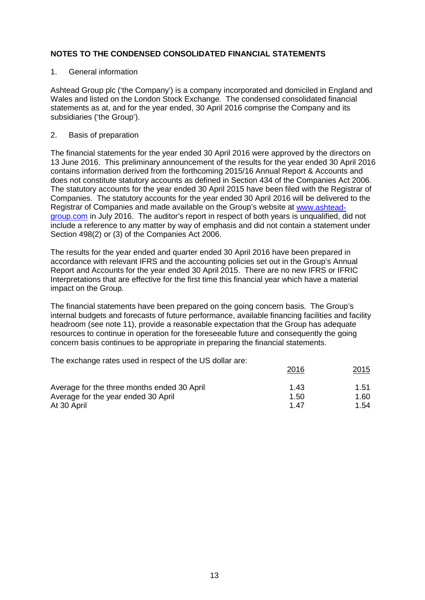#### 1. General information

Ashtead Group plc ('the Company') is a company incorporated and domiciled in England and Wales and listed on the London Stock Exchange. The condensed consolidated financial statements as at, and for the year ended, 30 April 2016 comprise the Company and its subsidiaries ('the Group').

#### 2. Basis of preparation

The financial statements for the year ended 30 April 2016 were approved by the directors on 13 June 2016. This preliminary announcement of the results for the year ended 30 April 2016 contains information derived from the forthcoming 2015/16 Annual Report & Accounts and does not constitute statutory accounts as defined in Section 434 of the Companies Act 2006. The statutory accounts for the year ended 30 April 2015 have been filed with the Registrar of Companies. The statutory accounts for the year ended 30 April 2016 will be delivered to the Registrar of Companies and made available on the Group's website at [www.ashtead](http://www.ashtead-group.com/)[group.com](http://www.ashtead-group.com/) in July 2016. The auditor's report in respect of both years is unqualified, did not include a reference to any matter by way of emphasis and did not contain a statement under Section 498(2) or (3) of the Companies Act 2006.

The results for the year ended and quarter ended 30 April 2016 have been prepared in accordance with relevant IFRS and the accounting policies set out in the Group's Annual Report and Accounts for the year ended 30 April 2015. There are no new IFRS or IFRIC Interpretations that are effective for the first time this financial year which have a material impact on the Group.

The financial statements have been prepared on the going concern basis. The Group's internal budgets and forecasts of future performance, available financing facilities and facility headroom (see note 11), provide a reasonable expectation that the Group has adequate resources to continue in operation for the foreseeable future and consequently the going concern basis continues to be appropriate in preparing the financial statements.

The exchange rates used in respect of the US dollar are:

|      | 2015 |
|------|------|
| 1.43 | 1.51 |
| 1.50 | 1.60 |
| 1 47 | 1.54 |
|      | 2016 |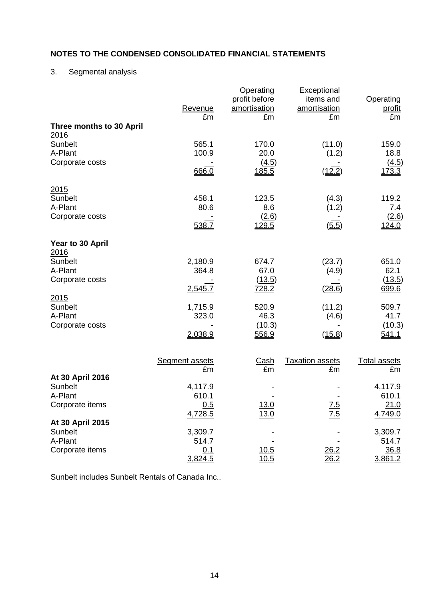# 3. Segmental analysis

|                                        | Revenue<br>£m               | Operating<br>profit before<br>amortisation<br>£m | Exceptional<br>items and<br>amortisation<br>£m | Operating<br><u>profit</u><br>£m |
|----------------------------------------|-----------------------------|--------------------------------------------------|------------------------------------------------|----------------------------------|
| Three months to 30 April<br>2016       |                             |                                                  |                                                |                                  |
| Sunbelt<br>A-Plant                     | 565.1<br>100.9              | 170.0<br>20.0                                    | (11.0)<br>(1.2)                                | 159.0<br>18.8                    |
| Corporate costs                        | 666.0                       | (4.5)<br><u>185.5</u>                            | (12.2)                                         | (4.5)<br><u>173.3</u>            |
| 2015<br>Sunbelt<br>A-Plant             | 458.1<br>80.6               | 123.5<br>8.6                                     | (4.3)<br>(1.2)                                 | 119.2<br>7.4                     |
| Corporate costs                        | 538.7                       | (2.6)<br>129.5                                   | (5.5)                                          | (2.6)<br><u>124.0</u>            |
| Year to 30 April<br>2016               |                             |                                                  |                                                |                                  |
| Sunbelt<br>A-Plant                     | 2,180.9<br>364.8            | 674.7<br>67.0                                    | (23.7)<br>(4.9)                                | 651.0<br>62.1                    |
| Corporate costs<br>2015                | 2,545.7                     | (13.5)<br><u>728.2</u>                           | (28.6)                                         | (13.5)<br>699.6                  |
| Sunbelt<br>A-Plant<br>Corporate costs  | 1,715.9<br>323.0            | 520.9<br>46.3<br>(10.3)                          | (11.2)<br>(4.6)                                | 509.7<br>41.7<br>(10.3)          |
|                                        | 2,038.9                     | 556.9                                            | (15.8)                                         | <u>541.1</u>                     |
|                                        | <b>Segment assets</b><br>£m | <u>Cash</u><br>£m                                | <b>Taxation assets</b><br>£m                   | <b>Total assets</b><br>£m        |
| At 30 April 2016<br>Sunbelt            | 4,117.9                     |                                                  |                                                | 4,117.9                          |
| A-Plant<br>Corporate items             | 610.1<br>0.5<br>4,728.5     | <u>13.0</u><br>13.0                              | 7.5<br>7.5                                     | 610.1<br><u>21.0</u><br>4,749.0  |
| At 30 April 2015<br>Sunbelt<br>A-Plant | 3,309.7<br>514.7            |                                                  |                                                | 3,309.7<br>514.7                 |
| Corporate items                        | 0.1<br>3,824.5              | 10.5<br>10.5                                     | 26.2<br>26.2                                   | 36.8<br>3,861.2                  |

Sunbelt includes Sunbelt Rentals of Canada Inc..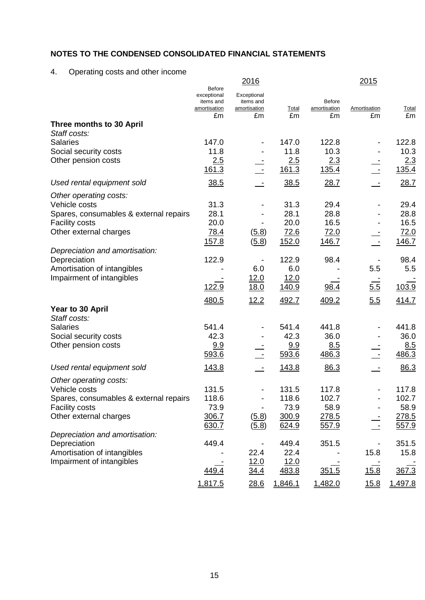# 4. Operating costs and other income

|                                          | <b>Before</b>                            | 2016                                     |               |                               | <u> 2015</u> |               |
|------------------------------------------|------------------------------------------|------------------------------------------|---------------|-------------------------------|--------------|---------------|
|                                          | exceptional<br>items and<br>amortisation | Exceptional<br>items and<br>amortisation | <b>Total</b>  | <b>Before</b><br>amortisation | Amortisation | <u>Total</u>  |
| Three months to 30 April                 | £m                                       | £m                                       | £m            | £m                            | £m           | £m            |
| Staff costs:                             |                                          |                                          |               |                               |              |               |
| <b>Salaries</b>                          | 147.0                                    | $\overline{\phantom{a}}$                 | 147.0         | 122.8                         |              | 122.8         |
| Social security costs                    | 11.8                                     |                                          | 11.8          | 10.3                          |              | 10.3          |
| Other pension costs                      | 2.5                                      |                                          | 2.5           | 2.3                           |              | 2.3           |
|                                          | 161.3                                    |                                          | 161.3         | 135.4                         |              | 135.4         |
| Used rental equipment sold               | 38.5                                     |                                          | 38.5          | 28.7                          |              | 28.7          |
| Other operating costs:                   |                                          |                                          |               |                               |              |               |
| Vehicle costs                            | 31.3                                     |                                          | 31.3          | 29.4                          |              | 29.4          |
| Spares, consumables & external repairs   | 28.1                                     |                                          | 28.1          | 28.8                          |              | 28.8          |
| <b>Facility costs</b>                    | 20.0                                     |                                          | 20.0          | 16.5                          |              | 16.5          |
| Other external charges                   | 78.4                                     | (5.8)                                    | 72.6          | 72.0                          |              | 72.0          |
|                                          | 157.8                                    | (5.8)                                    | 152.0         | 146.7                         |              | 146.7         |
| Depreciation and amortisation:           |                                          |                                          |               |                               |              |               |
| Depreciation                             | 122.9                                    |                                          | 122.9         | 98.4                          |              | 98.4          |
| Amortisation of intangibles              |                                          | 6.0                                      | 6.0           |                               | 5.5          | 5.5           |
| Impairment of intangibles                | 122.9                                    | 12.0                                     | 12.0          |                               |              |               |
|                                          |                                          | <u>18.0</u>                              | 140.9         | 98.4                          | 5.5          | 103.9         |
|                                          | 480.5                                    | 12.2                                     | 492.7         | 409.2                         | 5.5          | 414.7         |
| Year to 30 April                         |                                          |                                          |               |                               |              |               |
| Staff costs:                             |                                          |                                          |               |                               |              |               |
| <b>Salaries</b><br>Social security costs | 541.4<br>42.3                            |                                          | 541.4<br>42.3 | 441.8<br>36.0                 |              | 441.8<br>36.0 |
| Other pension costs                      | 9.9                                      |                                          | 9.9           | 8.5                           |              | 8.5           |
|                                          | 593.6                                    |                                          | 593.6         | 486.3                         |              | 486.3         |
|                                          |                                          |                                          |               |                               |              |               |
| Used rental equipment sold               | 143.8                                    |                                          | 143.8         | 86.3                          |              | 86.3          |
| Other operating costs:                   |                                          |                                          |               |                               |              |               |
| Vehicle costs                            | 131.5                                    | $\overline{\phantom{a}}$                 | 131.5         | 117.8                         |              | 117.8         |
| Spares, consumables & external repairs   | 118.6                                    |                                          | 118.6         | 102.7                         |              | 102.7         |
| <b>Facility costs</b>                    | 73.9                                     |                                          | 73.9          | 58.9                          |              | 58.9          |
| Other external charges                   | 306.7                                    | (5.8)                                    | 300.9         | 278.5                         |              | 278.5         |
| Depreciation and amortisation:           | 630.7                                    | (5.8)                                    | 624.9         | 557.9                         |              | 557.9         |
| Depreciation                             | 449.4                                    |                                          | 449.4         | 351.5                         |              | 351.5         |
| Amortisation of intangibles              |                                          | 22.4                                     | 22.4          |                               | 15.8         | 15.8          |
| Impairment of intangibles                |                                          | 12.0                                     | 12.0          |                               |              |               |
|                                          | 449.4                                    | 34.4                                     | 483.8         | 351.5                         | 15.8         | 367.3         |
|                                          | 1,817.5                                  | 28.6                                     | 1,846.1       | 1,482.0                       | 15.8         | 1,497.8       |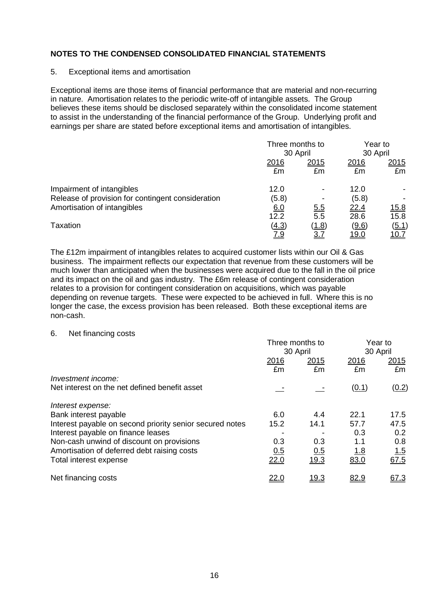#### 5. Exceptional items and amortisation

Exceptional items are those items of financial performance that are material and non-recurring in nature. Amortisation relates to the periodic write-off of intangible assets. The Group believes these items should be disclosed separately within the consolidated income statement to assist in the understanding of the financial performance of the Group. Underlying profit and earnings per share are stated before exceptional items and amortisation of intangibles.

|                                                                                |               | Three months to<br>30 April |               | Year to<br>30 April |  |
|--------------------------------------------------------------------------------|---------------|-----------------------------|---------------|---------------------|--|
|                                                                                | 2016          | 2015                        | 2016          | 2015                |  |
|                                                                                | £m            | £m                          | £m            | £m                  |  |
| Impairment of intangibles<br>Release of provision for contingent consideration | 12.0<br>(5.8) |                             | 12.0<br>(5.8) |                     |  |
| Amortisation of intangibles                                                    | 6.0           | <u>5.5</u>                  | 22.4          | <u>15.8</u>         |  |
|                                                                                | 12.2          | $\overline{5.5}$            | 28.6          | 15.8                |  |
| Taxation                                                                       | (4.3)         | (1.8)                       | (9.6)         | <u>(5.1)</u>        |  |
|                                                                                | 7.9           | <u>3.7</u>                  | <u> 19.0</u>  | <u> 10.7</u>        |  |

The £12m impairment of intangibles relates to acquired customer lists within our Oil & Gas business. The impairment reflects our expectation that revenue from these customers will be much lower than anticipated when the businesses were acquired due to the fall in the oil price and its impact on the oil and gas industry. The £6m release of contingent consideration relates to a provision for contingent consideration on acquisitions, which was payable depending on revenue targets. These were expected to be achieved in full. Where this is no longer the case, the excess provision has been released. Both these exceptional items are non-cash.

#### 6. Net financing costs

|                                                          | Three months to<br>30 April |                   | Year to<br>30 April |                    |
|----------------------------------------------------------|-----------------------------|-------------------|---------------------|--------------------|
|                                                          | 2016<br>£m                  | <u>2015</u><br>£m | 2016<br>£m          | 2015<br>£m         |
| Investment income:                                       |                             |                   |                     |                    |
| Net interest on the net defined benefit asset            |                             |                   | (0.1)               | (0.2)              |
| Interest expense:                                        |                             |                   |                     |                    |
| Bank interest payable                                    | 6.0                         | 4.4               | 22.1                | 17.5               |
| Interest payable on second priority senior secured notes | 15.2                        | 14.1              | 57.7                | 47.5               |
| Interest payable on finance leases                       |                             |                   | 0.3                 | 0.2                |
| Non-cash unwind of discount on provisions                | 0.3                         | 0.3               | 1.1                 | 0.8                |
| Amortisation of deferred debt raising costs              | 0.5                         | 0.5               | <u>1.8</u>          |                    |
| Total interest expense                                   | 22.0                        | 19.3              | 83.0                | $\frac{1.5}{67.5}$ |
| Net financing costs                                      | <u> 22.0</u>                | <u> 19.3</u>      | <u>82.9</u>         | 67.3               |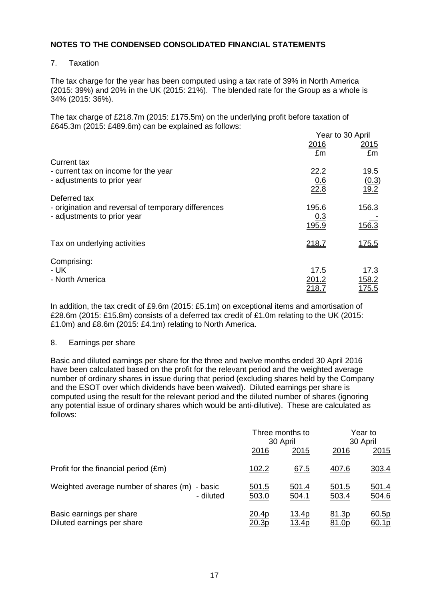### 7. Taxation

The tax charge for the year has been computed using a tax rate of 39% in North America (2015: 39%) and 20% in the UK (2015: 21%). The blended rate for the Group as a whole is 34% (2015: 36%).

The tax charge of £218.7m (2015: £175.5m) on the underlying profit before taxation of £645.3m (2015: £489.6m) can be explained as follows:

|                                                     | Year to 30 April |               |  |
|-----------------------------------------------------|------------------|---------------|--|
|                                                     | 2016             | 2015          |  |
| Current tax                                         | £m               | £m            |  |
| - current tax on income for the year                | 22.2             | 19.5          |  |
| - adjustments to prior year                         | 0.6              | (0.3)         |  |
| Deferred tax                                        | 22.8             | 19.2          |  |
| - origination and reversal of temporary differences | 195.6            | 156.3         |  |
| - adjustments to prior year                         | 0.3<br>195.9     | 156.3         |  |
| Tax on underlying activities                        | <u>218.7</u>     | <u>175.5</u>  |  |
| Comprising:                                         |                  |               |  |
| - UK                                                | 17.5             | 17.3          |  |
| - North America                                     | 201.2            | <u>158.2</u>  |  |
|                                                     | <u> 218.7</u>    | <u> 175.5</u> |  |

In addition, the tax credit of £9.6m (2015: £5.1m) on exceptional items and amortisation of £28.6m (2015: £15.8m) consists of a deferred tax credit of £1.0m relating to the UK (2015: £1.0m) and £8.6m (2015: £4.1m) relating to North America.

#### 8. Earnings per share

Basic and diluted earnings per share for the three and twelve months ended 30 April 2016 have been calculated based on the profit for the relevant period and the weighted average number of ordinary shares in issue during that period (excluding shares held by the Company and the ESOT over which dividends have been waived). Diluted earnings per share is computed using the result for the relevant period and the diluted number of shares (ignoring any potential issue of ordinary shares which would be anti-dilutive). These are calculated as follows:

|                                                            |                               | Three months to<br>30 April |                              | Year to<br>30 April   |  |
|------------------------------------------------------------|-------------------------------|-----------------------------|------------------------------|-----------------------|--|
|                                                            | 2016                          | 2015                        | 2016                         | 2015                  |  |
| Profit for the financial period (£m)                       | <u>102.2</u>                  | 67.5                        | 407.6                        | 303.4                 |  |
| Weighted average number of shares (m) - basic<br>- diluted | <u>501.5</u><br>503.0         | 501.4<br>504.1              | <u>501.5</u><br>503.4        | <u>501.4</u><br>504.6 |  |
| Basic earnings per share<br>Diluted earnings per share     | <u>20.4p</u><br><u> 20.3p</u> | 13.4p<br>13.4p              | <u>81.3p</u><br><u>81.0p</u> | 60.5p<br>60.1p        |  |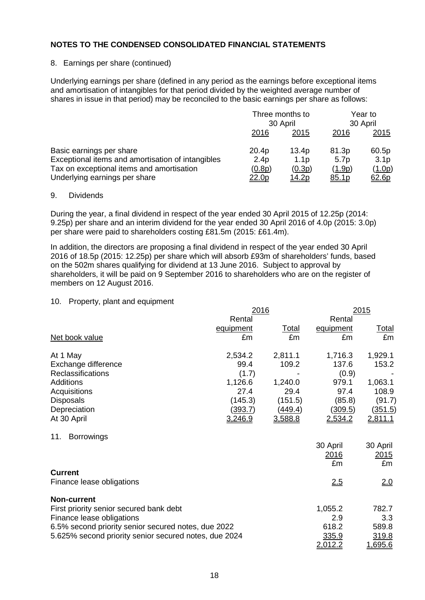### 8. Earnings per share (continued)

Underlying earnings per share (defined in any period as the earnings before exceptional items and amortisation of intangibles for that period divided by the weighted average number of shares in issue in that period) may be reconciled to the basic earnings per share as follows:

|                                                                                                                                                             | Three months to<br>30 April                  |                                                     | Year to<br>30 April                          |                                              |
|-------------------------------------------------------------------------------------------------------------------------------------------------------------|----------------------------------------------|-----------------------------------------------------|----------------------------------------------|----------------------------------------------|
|                                                                                                                                                             | 2016                                         | 2015                                                | 2016                                         | <u>2015</u>                                  |
| Basic earnings per share<br>Exceptional items and amortisation of intangibles<br>Tax on exceptional items and amortisation<br>Underlying earnings per share | 20.4p<br>2.4 <sub>p</sub><br>(0.8p)<br>22.0p | 13.4p<br>1.1 <sub>p</sub><br>(0.3p)<br><u>14.2p</u> | 81.3p<br>5.7 <sub>p</sub><br>(1.9p)<br>85.1p | 60.5p<br>3.1 <sub>p</sub><br>(1.0p)<br>62.6p |

#### 9. Dividends

During the year, a final dividend in respect of the year ended 30 April 2015 of 12.25p (2014: 9.25p) per share and an interim dividend for the year ended 30 April 2016 of 4.0p (2015: 3.0p) per share were paid to shareholders costing £81.5m (2015: £61.4m).

In addition, the directors are proposing a final dividend in respect of the year ended 30 April 2016 of 18.5p (2015: 12.25p) per share which will absorb £93m of shareholders' funds, based on the 502m shares qualifying for dividend at 13 June 2016. Subject to approval by shareholders, it will be paid on 9 September 2016 to shareholders who are on the register of members on 12 August 2016.

#### 10. Property, plant and equipment

|                                                       | <u> 2016</u>   |                |             | <u>2015</u>    |  |  |
|-------------------------------------------------------|----------------|----------------|-------------|----------------|--|--|
|                                                       | Rental         |                | Rental      |                |  |  |
|                                                       | equipment      | <u>Total</u>   | equipment   | <u>Total</u>   |  |  |
| Net book value                                        | £m             | £m             | £m          | £m             |  |  |
| At 1 May                                              | 2,534.2        | 2,811.1        | 1,716.3     | 1,929.1        |  |  |
| Exchange difference                                   | 99.4           | 109.2          | 137.6       | 153.2          |  |  |
| Reclassifications                                     | (1.7)          |                | (0.9)       |                |  |  |
| Additions                                             | 1,126.6        | 1,240.0        | 979.1       | 1,063.1        |  |  |
| Acquisitions                                          | 27.4           | 29.4           | 97.4        | 108.9          |  |  |
| <b>Disposals</b>                                      | (145.3)        | (151.5)        | (85.8)      | (91.7)         |  |  |
| Depreciation                                          | <u>(393.7)</u> | <u>(449.4)</u> | (309.5)     | (351.5)        |  |  |
| At 30 April                                           | 3,246.9        | 3,588.8        | 2,534.2     | <u>2,811.1</u> |  |  |
| <b>Borrowings</b><br>11.                              |                |                |             |                |  |  |
|                                                       |                |                | 30 April    | 30 April       |  |  |
|                                                       |                |                | <u>2016</u> | <u> 2015</u>   |  |  |
|                                                       |                |                | £m          | £m             |  |  |
| <b>Current</b>                                        |                |                |             |                |  |  |
| Finance lease obligations                             |                |                | 2.5         | 2.0            |  |  |
| <b>Non-current</b>                                    |                |                |             |                |  |  |
| First priority senior secured bank debt               |                |                | 1,055.2     | 782.7          |  |  |
| Finance lease obligations                             |                |                | 2.9         | 3.3            |  |  |
| 6.5% second priority senior secured notes, due 2022   |                |                | 618.2       | 589.8          |  |  |
| 5.625% second priority senior secured notes, due 2024 |                |                | 335.9       | 319.8          |  |  |
|                                                       |                |                | 2,012.2     | <u>1,695.6</u> |  |  |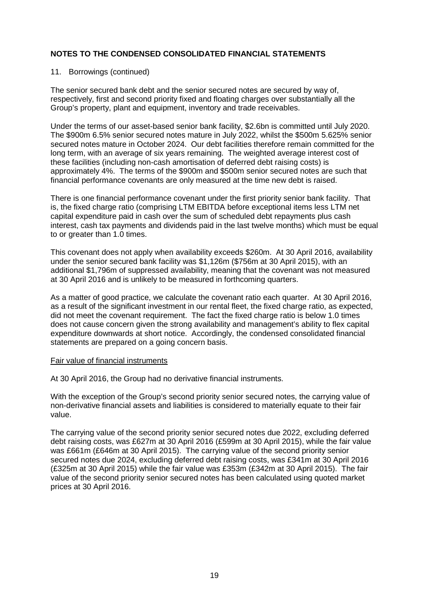#### 11. Borrowings (continued)

The senior secured bank debt and the senior secured notes are secured by way of, respectively, first and second priority fixed and floating charges over substantially all the Group's property, plant and equipment, inventory and trade receivables.

Under the terms of our asset-based senior bank facility, \$2.6bn is committed until July 2020. The \$900m 6.5% senior secured notes mature in July 2022, whilst the \$500m 5.625% senior secured notes mature in October 2024. Our debt facilities therefore remain committed for the long term, with an average of six years remaining. The weighted average interest cost of these facilities (including non-cash amortisation of deferred debt raising costs) is approximately 4%. The terms of the \$900m and \$500m senior secured notes are such that financial performance covenants are only measured at the time new debt is raised.

There is one financial performance covenant under the first priority senior bank facility. That is, the fixed charge ratio (comprising LTM EBITDA before exceptional items less LTM net capital expenditure paid in cash over the sum of scheduled debt repayments plus cash interest, cash tax payments and dividends paid in the last twelve months) which must be equal to or greater than 1.0 times.

This covenant does not apply when availability exceeds \$260m. At 30 April 2016, availability under the senior secured bank facility was \$1,126m (\$756m at 30 April 2015), with an additional \$1,796m of suppressed availability, meaning that the covenant was not measured at 30 April 2016 and is unlikely to be measured in forthcoming quarters.

As a matter of good practice, we calculate the covenant ratio each quarter. At 30 April 2016, as a result of the significant investment in our rental fleet, the fixed charge ratio, as expected, did not meet the covenant requirement. The fact the fixed charge ratio is below 1.0 times does not cause concern given the strong availability and management's ability to flex capital expenditure downwards at short notice. Accordingly, the condensed consolidated financial statements are prepared on a going concern basis.

#### Fair value of financial instruments

At 30 April 2016, the Group had no derivative financial instruments.

With the exception of the Group's second priority senior secured notes, the carrying value of non-derivative financial assets and liabilities is considered to materially equate to their fair value.

The carrying value of the second priority senior secured notes due 2022, excluding deferred debt raising costs, was £627m at 30 April 2016 (£599m at 30 April 2015), while the fair value was £661m (£646m at 30 April 2015). The carrying value of the second priority senior secured notes due 2024, excluding deferred debt raising costs, was £341m at 30 April 2016 (£325m at 30 April 2015) while the fair value was £353m (£342m at 30 April 2015). The fair value of the second priority senior secured notes has been calculated using quoted market prices at 30 April 2016.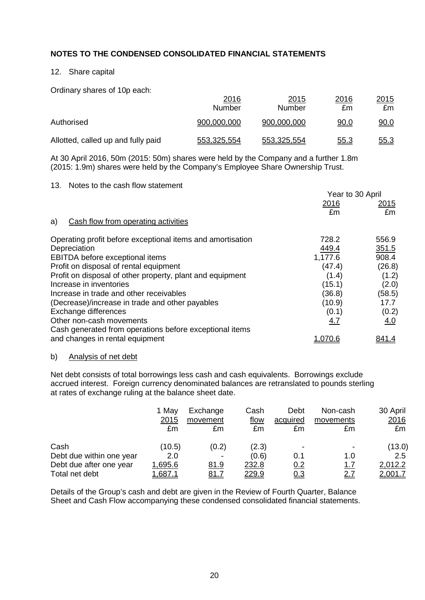# 12. Share capital

Ordinary shares of 10p each:

|                                    | 2016<br><b>Number</b> | <u>2015</u><br>Number | 2016<br>£m  | 2015<br>£m  |
|------------------------------------|-----------------------|-----------------------|-------------|-------------|
| Authorised                         | 900,000,000           | 900,000,000           | <u>90.0</u> | <u>90.0</u> |
| Allotted, called up and fully paid | 553,325,554           | 553,325,554           | <u>55.3</u> | <u>55.3</u> |

At 30 April 2016, 50m (2015: 50m) shares were held by the Company and a further 1.8m (2015: 1.9m) shares were held by the Company's Employee Share Ownership Trust.

### 13. Notes to the cash flow statement

|                                                            | Year to 30 April |               |
|------------------------------------------------------------|------------------|---------------|
|                                                            | 2016             | <u> 2015 </u> |
|                                                            | £m               | £m            |
| Cash flow from operating activities<br>a)                  |                  |               |
| Operating profit before exceptional items and amortisation | 728.2            | 556.9         |
| Depreciation                                               | 449.4            | 351.5         |
| EBITDA before exceptional items                            | 1,177.6          | 908.4         |
| Profit on disposal of rental equipment                     | (47.4)           | (26.8)        |
| Profit on disposal of other property, plant and equipment  | (1.4)            | (1.2)         |
| Increase in inventories                                    | (15.1)           | (2.0)         |
| Increase in trade and other receivables                    | (36.8)           | (58.5)        |
| (Decrease)/increase in trade and other payables            | (10.9)           | 17.7          |
| Exchange differences                                       | (0.1)            | (0.2)         |
| Other non-cash movements                                   | 4.7              | <u>4.0</u>    |
| Cash generated from operations before exceptional items    |                  |               |
| and changes in rental equipment                            | .070.6           | 841.4         |

# b) Analysis of net debt

Net debt consists of total borrowings less cash and cash equivalents. Borrowings exclude accrued interest. Foreign currency denominated balances are retranslated to pounds sterling at rates of exchange ruling at the balance sheet date.

|                          | 1 May<br>2015<br>£m | Exchange<br>movement<br>£m | Cash<br>flow<br>£m | Debt<br>acquired<br>£m | Non-cash<br>movements<br>£m | 30 April<br>2016<br>£m |
|--------------------------|---------------------|----------------------------|--------------------|------------------------|-----------------------------|------------------------|
| Cash                     | (10.5)              | (0.2)                      | (2.3)              |                        |                             | (13.0)                 |
| Debt due within one year | 2.0                 |                            | (0.6)              | 0.1                    | 1.0                         | $2.5^{\circ}$          |
| Debt due after one year  | 1,695.6             | <u>81.9</u>                | 232.8              | 0.2                    | <u>1.7</u>                  | 2,012.2                |
| Total net debt           | .687.1              | <u>81.7</u>                | <u>229.9</u>       | <u>0.3</u>             | <u>2.7</u>                  | 2,001.7                |

Details of the Group's cash and debt are given in the Review of Fourth Quarter, Balance Sheet and Cash Flow accompanying these condensed consolidated financial statements.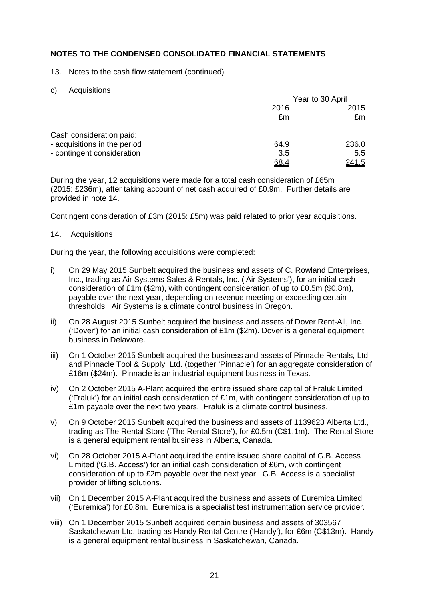13. Notes to the cash flow statement (continued)

### c) Acquisitions

|                              | Year to 30 April |               |  |
|------------------------------|------------------|---------------|--|
|                              | 2016             | 2015          |  |
|                              | £m               | £m            |  |
| Cash consideration paid:     |                  |               |  |
| - acquisitions in the period | 64.9             | 236.0         |  |
| - contingent consideration   | 3.5              | 5.5           |  |
|                              | 68.4             | <u> 241.5</u> |  |

During the year, 12 acquisitions were made for a total cash consideration of £65m (2015: £236m), after taking account of net cash acquired of £0.9m. Further details are provided in note 14.

Contingent consideration of £3m (2015: £5m) was paid related to prior year acquisitions.

#### 14. Acquisitions

During the year, the following acquisitions were completed:

- i) On 29 May 2015 Sunbelt acquired the business and assets of C. Rowland Enterprises, Inc., trading as Air Systems Sales & Rentals, Inc. ('Air Systems'), for an initial cash consideration of £1m (\$2m), with contingent consideration of up to £0.5m (\$0.8m), payable over the next year, depending on revenue meeting or exceeding certain thresholds. Air Systems is a climate control business in Oregon.
- ii) On 28 August 2015 Sunbelt acquired the business and assets of Dover Rent-All, Inc. ('Dover') for an initial cash consideration of £1m (\$2m). Dover is a general equipment business in Delaware.
- iii) On 1 October 2015 Sunbelt acquired the business and assets of Pinnacle Rentals, Ltd. and Pinnacle Tool & Supply, Ltd. (together 'Pinnacle') for an aggregate consideration of £16m (\$24m). Pinnacle is an industrial equipment business in Texas.
- iv) On 2 October 2015 A-Plant acquired the entire issued share capital of Fraluk Limited ('Fraluk') for an initial cash consideration of £1m, with contingent consideration of up to £1m payable over the next two years. Fraluk is a climate control business.
- v) On 9 October 2015 Sunbelt acquired the business and assets of 1139623 Alberta Ltd., trading as The Rental Store ('The Rental Store'), for £0.5m (C\$1.1m). The Rental Store is a general equipment rental business in Alberta, Canada.
- vi) On 28 October 2015 A-Plant acquired the entire issued share capital of G.B. Access Limited ('G.B. Access') for an initial cash consideration of £6m, with contingent consideration of up to £2m payable over the next year. G.B. Access is a specialist provider of lifting solutions.
- vii) On 1 December 2015 A-Plant acquired the business and assets of Euremica Limited ('Euremica') for £0.8m. Euremica is a specialist test instrumentation service provider.
- viii) On 1 December 2015 Sunbelt acquired certain business and assets of 303567 Saskatchewan Ltd, trading as Handy Rental Centre ('Handy'), for £6m (C\$13m). Handy is a general equipment rental business in Saskatchewan, Canada.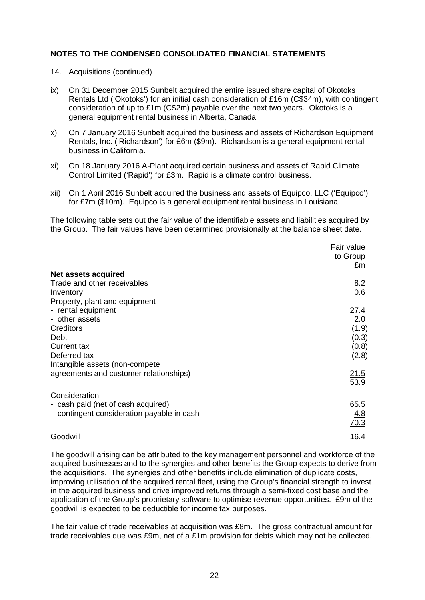- 14. Acquisitions (continued)
- ix) On 31 December 2015 Sunbelt acquired the entire issued share capital of Okotoks Rentals Ltd ('Okotoks') for an initial cash consideration of £16m (C\$34m), with contingent consideration of up to £1m (C\$2m) payable over the next two years. Okotoks is a general equipment rental business in Alberta, Canada.
- x) On 7 January 2016 Sunbelt acquired the business and assets of Richardson Equipment Rentals, Inc. ('Richardson') for £6m (\$9m). Richardson is a general equipment rental business in California.
- xi) On 18 January 2016 A-Plant acquired certain business and assets of Rapid Climate Control Limited ('Rapid') for £3m. Rapid is a climate control business.
- xii) On 1 April 2016 Sunbelt acquired the business and assets of Equipco, LLC ('Equipco') for £7m (\$10m). Equipco is a general equipment rental business in Louisiana.

The following table sets out the fair value of the identifiable assets and liabilities acquired by the Group. The fair values have been determined provisionally at the balance sheet date.

|                                            | Fair value<br>to Group |
|--------------------------------------------|------------------------|
|                                            | £m                     |
| Net assets acquired                        |                        |
| Trade and other receivables                | 8.2                    |
| Inventory                                  | 0.6                    |
| Property, plant and equipment              |                        |
| - rental equipment                         | 27.4                   |
| - other assets                             | 2.0                    |
| Creditors                                  | (1.9)                  |
| Debt                                       | (0.3)                  |
| Current tax                                | (0.8)                  |
| Deferred tax                               | (2.8)                  |
| Intangible assets (non-compete             |                        |
| agreements and customer relationships)     | <u>21.5</u>            |
|                                            | 53.9                   |
| Consideration:                             |                        |
| - cash paid (net of cash acquired)         | 65.5                   |
| - contingent consideration payable in cash | 4.8                    |
|                                            | 70.3                   |
| Goodwill                                   | <u>16.4</u>            |

The goodwill arising can be attributed to the key management personnel and workforce of the acquired businesses and to the synergies and other benefits the Group expects to derive from the acquisitions. The synergies and other benefits include elimination of duplicate costs, improving utilisation of the acquired rental fleet, using the Group's financial strength to invest in the acquired business and drive improved returns through a semi-fixed cost base and the application of the Group's proprietary software to optimise revenue opportunities. £9m of the goodwill is expected to be deductible for income tax purposes.

The fair value of trade receivables at acquisition was £8m. The gross contractual amount for trade receivables due was £9m, net of a £1m provision for debts which may not be collected.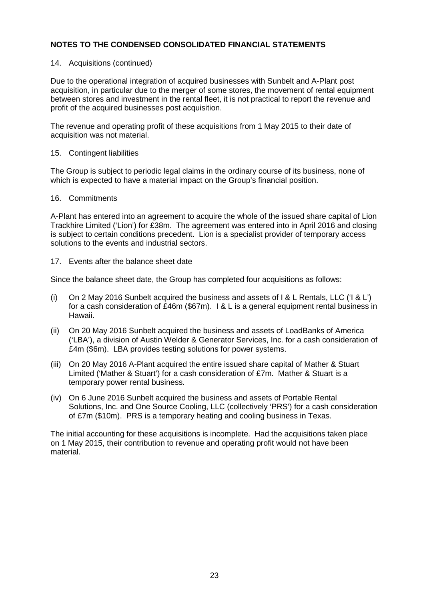#### 14. Acquisitions (continued)

Due to the operational integration of acquired businesses with Sunbelt and A-Plant post acquisition, in particular due to the merger of some stores, the movement of rental equipment between stores and investment in the rental fleet, it is not practical to report the revenue and profit of the acquired businesses post acquisition.

The revenue and operating profit of these acquisitions from 1 May 2015 to their date of acquisition was not material.

#### 15. Contingent liabilities

The Group is subject to periodic legal claims in the ordinary course of its business, none of which is expected to have a material impact on the Group's financial position.

#### 16. Commitments

A-Plant has entered into an agreement to acquire the whole of the issued share capital of Lion Trackhire Limited ('Lion') for £38m. The agreement was entered into in April 2016 and closing is subject to certain conditions precedent. Lion is a specialist provider of temporary access solutions to the events and industrial sectors.

### 17. Events after the balance sheet date

Since the balance sheet date, the Group has completed four acquisitions as follows:

- (i) On 2 May 2016 Sunbelt acquired the business and assets of I & L Rentals, LLC ('I & L') for a cash consideration of £46m (\$67m). I & L is a general equipment rental business in Hawaii.
- (ii) On 20 May 2016 Sunbelt acquired the business and assets of LoadBanks of America ('LBA'), a division of Austin Welder & Generator Services, Inc. for a cash consideration of £4m (\$6m). LBA provides testing solutions for power systems.
- (iii) On 20 May 2016 A-Plant acquired the entire issued share capital of Mather & Stuart Limited ('Mather & Stuart') for a cash consideration of £7m. Mather & Stuart is a temporary power rental business.
- (iv) On 6 June 2016 Sunbelt acquired the business and assets of Portable Rental Solutions, Inc. and One Source Cooling, LLC (collectively 'PRS') for a cash consideration of £7m (\$10m). PRS is a temporary heating and cooling business in Texas.

The initial accounting for these acquisitions is incomplete. Had the acquisitions taken place on 1 May 2015, their contribution to revenue and operating profit would not have been material.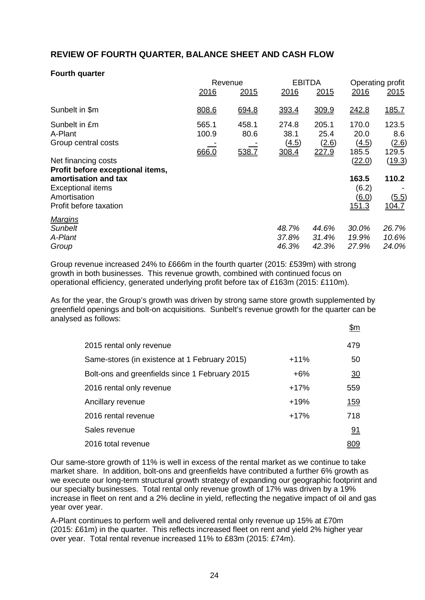# **REVIEW OF FOURTH QUARTER, BALANCE SHEET AND CASH FLOW**

#### **Fourth quarter**

|                                                                                                                                                       | Revenue                 |                        | <b>EBITDA</b>                   |                                 | Operating profit                                  |                                   |
|-------------------------------------------------------------------------------------------------------------------------------------------------------|-------------------------|------------------------|---------------------------------|---------------------------------|---------------------------------------------------|-----------------------------------|
|                                                                                                                                                       | 2016                    | 2015                   | 2016                            | 2015                            | 2016                                              | 2015                              |
| Sunbelt in \$m                                                                                                                                        | 808.6                   | 694.8                  | 393.4                           | 309.9                           | 242.8                                             | 185.7                             |
| Sunbelt in £m<br>A-Plant<br>Group central costs                                                                                                       | 565.1<br>100.9<br>666.0 | 458.1<br>80.6<br>538.7 | 274.8<br>38.1<br>(4.5)<br>308.4 | 205.1<br>25.4<br>(2.6)<br>227.9 | 170.0<br>20.0<br>(4.5)<br>185.5                   | 123.5<br>8.6<br>(2.6)<br>129.5    |
| Net financing costs<br>Profit before exceptional items,<br>amortisation and tax<br><b>Exceptional items</b><br>Amortisation<br>Profit before taxation |                         |                        |                                 |                                 | (22.0)<br>163.5<br>(6.2)<br><u>(6.0)</u><br>151.3 | (19.3)<br>110.2<br>(5.5)<br>104.7 |
| <b>Margins</b><br><b>Sunbelt</b><br>A-Plant<br>Group                                                                                                  |                         |                        | 48.7%<br>37.8%<br>46.3%         | 44.6%<br>31.4%<br>42.3%         | 30.0%<br>19.9%<br>27.9%                           | 26.7%<br>10.6%<br>24.0%           |

Group revenue increased 24% to £666m in the fourth quarter (2015: £539m) with strong growth in both businesses. This revenue growth, combined with continued focus on operational efficiency, generated underlying profit before tax of £163m (2015: £110m).

As for the year, the Group's growth was driven by strong same store growth supplemented by greenfield openings and bolt-on acquisitions. Sunbelt's revenue growth for the quarter can be analysed as follows:  $\ddot{\mathbf{r}}$ 

|                                                |        | фm         |
|------------------------------------------------|--------|------------|
| 2015 rental only revenue                       |        | 479        |
| Same-stores (in existence at 1 February 2015)  | $+11%$ | 50         |
| Bolt-ons and greenfields since 1 February 2015 | $+6%$  | 30         |
| 2016 rental only revenue                       | $+17%$ | 559        |
| Ancillary revenue                              | $+19%$ | <u>159</u> |
| 2016 rental revenue                            | $+17%$ | 718        |
| Sales revenue                                  |        | <u>91</u>  |
| 2016 total revenue                             |        |            |

Our same-store growth of 11% is well in excess of the rental market as we continue to take market share. In addition, bolt-ons and greenfields have contributed a further 6% growth as we execute our long-term structural growth strategy of expanding our geographic footprint and our specialty businesses. Total rental only revenue growth of 17% was driven by a 19% increase in fleet on rent and a 2% decline in yield, reflecting the negative impact of oil and gas year over year.

A-Plant continues to perform well and delivered rental only revenue up 15% at £70m (2015: £61m) in the quarter. This reflects increased fleet on rent and yield 2% higher year over year. Total rental revenue increased 11% to £83m (2015: £74m).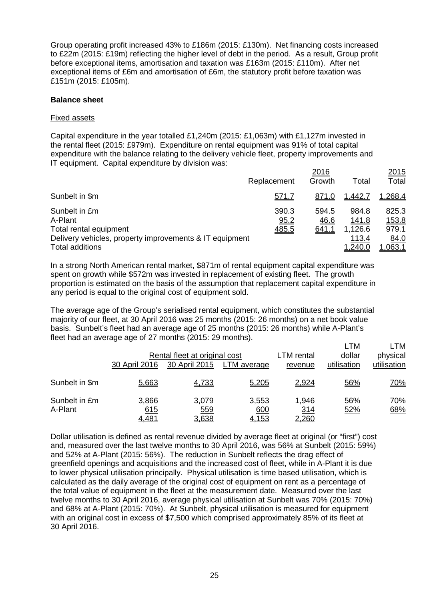Group operating profit increased 43% to £186m (2015: £130m). Net financing costs increased to £22m (2015: £19m) reflecting the higher level of debt in the period. As a result, Group profit before exceptional items, amortisation and taxation was £163m (2015: £110m). After net exceptional items of £6m and amortisation of £6m, the statutory profit before taxation was £151m (2015: £105m).

#### **Balance sheet**

### Fixed assets

Capital expenditure in the year totalled £1,240m (2015: £1,063m) with £1,127m invested in the rental fleet (2015: £979m). Expenditure on rental equipment was 91% of total capital expenditure with the balance relating to the delivery vehicle fleet, property improvements and IT equipment. Capital expenditure by division was:

|                                                         |               | 2016          |                | <u>2015</u>    |
|---------------------------------------------------------|---------------|---------------|----------------|----------------|
|                                                         | Replacement   | Growth        | <u>Total</u>   | <b>Total</b>   |
| Sunbelt in \$m                                          | <u>571.7</u>  | 871.0         | 1,442.7        | 1,268.4        |
| Sunbelt in £m<br>A-Plant                                | 390.3<br>95.2 | 594.5<br>46.6 | 984.8<br>141.8 | 825.3<br>153.8 |
| Total rental equipment                                  | 485.5         | <u>641.1</u>  | 1,126.6        | 979.1          |
| Delivery vehicles, property improvements & IT equipment |               |               | 113.4          | 84.0           |
| <b>Total additions</b>                                  |               |               | 1,240.0        | .063.1         |

In a strong North American rental market, \$871m of rental equipment capital expenditure was spent on growth while \$572m was invested in replacement of existing fleet. The growth proportion is estimated on the basis of the assumption that replacement capital expenditure in any period is equal to the original cost of equipment sold.

The average age of the Group's serialised rental equipment, which constitutes the substantial majority of our fleet, at 30 April 2016 was 25 months (2015: 26 months) on a net book value basis. Sunbelt's fleet had an average age of 25 months (2015: 26 months) while A-Plant's fleet had an average age of 27 months (2015: 29 months).

|                          | 30 April 2016                | Rental fleet at original cost<br>30 April 2015 | LTM average                  | LTM rental<br>revenue        | LTM<br>dollar<br>utilisation | LTM<br>physical<br>utilisation |
|--------------------------|------------------------------|------------------------------------------------|------------------------------|------------------------------|------------------------------|--------------------------------|
| Sunbelt in \$m           | 5,663                        | 4,733                                          | 5,205                        | 2,924                        | 56%                          | <u>70%</u>                     |
| Sunbelt in £m<br>A-Plant | 3,866<br>615<br><u>4,481</u> | 3,079<br>559<br>3,638                          | 3,553<br>600<br><u>4,153</u> | 1,946<br><u>314</u><br>2,260 | 56%<br>52%                   | 70%<br>68%                     |

Dollar utilisation is defined as rental revenue divided by average fleet at original (or "first") cost and, measured over the last twelve months to 30 April 2016, was 56% at Sunbelt (2015: 59%) and 52% at A-Plant (2015: 56%). The reduction in Sunbelt reflects the drag effect of greenfield openings and acquisitions and the increased cost of fleet, while in A-Plant it is due to lower physical utilisation principally. Physical utilisation is time based utilisation, which is calculated as the daily average of the original cost of equipment on rent as a percentage of the total value of equipment in the fleet at the measurement date. Measured over the last twelve months to 30 April 2016, average physical utilisation at Sunbelt was 70% (2015: 70%) and 68% at A-Plant (2015: 70%). At Sunbelt, physical utilisation is measured for equipment with an original cost in excess of \$7,500 which comprised approximately 85% of its fleet at 30 April 2016.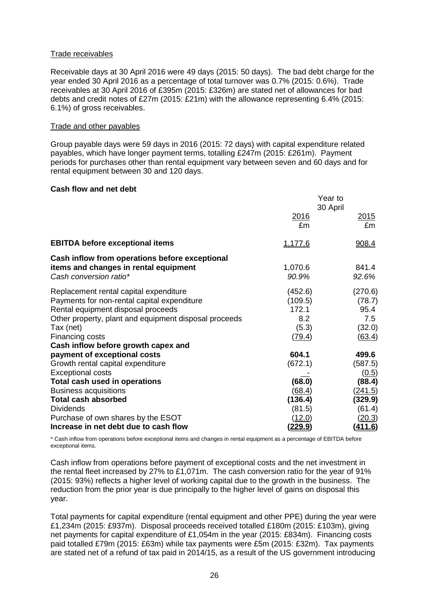### Trade receivables

Receivable days at 30 April 2016 were 49 days (2015: 50 days). The bad debt charge for the year ended 30 April 2016 as a percentage of total turnover was 0.7% (2015: 0.6%). Trade receivables at 30 April 2016 of £395m (2015: £326m) are stated net of allowances for bad debts and credit notes of £27m (2015: £21m) with the allowance representing 6.4% (2015: 6.1%) of gross receivables.

#### Trade and other payables

Group payable days were 59 days in 2016 (2015: 72 days) with capital expenditure related payables, which have longer payment terms, totalling £247m (2015: £261m). Payment periods for purchases other than rental equipment vary between seven and 60 days and for rental equipment between 30 and 120 days.

#### **Cash flow and net debt**

|                                                                                                                                                                                                                      | Year to<br>30 April                                   |                                                      |
|----------------------------------------------------------------------------------------------------------------------------------------------------------------------------------------------------------------------|-------------------------------------------------------|------------------------------------------------------|
|                                                                                                                                                                                                                      | 2016<br>£m                                            | <u> 2015</u><br>£m                                   |
| <b>EBITDA before exceptional items</b>                                                                                                                                                                               | <u>1,177.6</u>                                        | 908.4                                                |
| Cash inflow from operations before exceptional<br>items and changes in rental equipment<br>Cash conversion ratio*                                                                                                    | 1,070.6<br>90.9%                                      | 841.4<br>92.6%                                       |
| Replacement rental capital expenditure<br>Payments for non-rental capital expenditure<br>Rental equipment disposal proceeds<br>Other property, plant and equipment disposal proceeds<br>Tax (net)<br>Financing costs | (452.6)<br>(109.5)<br>172.1<br>8.2<br>(5.3)<br>(79.4) | (270.6)<br>(78.7)<br>95.4<br>7.5<br>(32.0)<br>(63.4) |
| Cash inflow before growth capex and<br>payment of exceptional costs                                                                                                                                                  | 604.1                                                 | 499.6                                                |
| Growth rental capital expenditure<br><b>Exceptional costs</b>                                                                                                                                                        | (672.1)                                               | (587.5)<br>(0.5)                                     |
| Total cash used in operations<br><b>Business acquisitions</b>                                                                                                                                                        | (68.0)<br>(68.4)                                      | (88.4)<br>(241.5)                                    |
| <b>Total cash absorbed</b><br><b>Dividends</b><br>Purchase of own shares by the ESOT                                                                                                                                 | (136.4)<br>(81.5)<br><u>(12.0)</u>                    | (329.9)<br>(61.4)<br><u>(20.3)</u>                   |
| Increase in net debt due to cash flow                                                                                                                                                                                | <u>(229.9)</u>                                        | <u>(411.6)</u>                                       |

\* Cash inflow from operations before exceptional items and changes in rental equipment as a percentage of EBITDA before exceptional items.

Cash inflow from operations before payment of exceptional costs and the net investment in the rental fleet increased by 27% to £1,071m. The cash conversion ratio for the year of 91% (2015: 93%) reflects a higher level of working capital due to the growth in the business. The reduction from the prior year is due principally to the higher level of gains on disposal this year.

Total payments for capital expenditure (rental equipment and other PPE) during the year were £1,234m (2015: £937m). Disposal proceeds received totalled £180m (2015: £103m), giving net payments for capital expenditure of £1,054m in the year (2015: £834m). Financing costs paid totalled £79m (2015: £63m) while tax payments were £5m (2015: £32m). Tax payments are stated net of a refund of tax paid in 2014/15, as a result of the US government introducing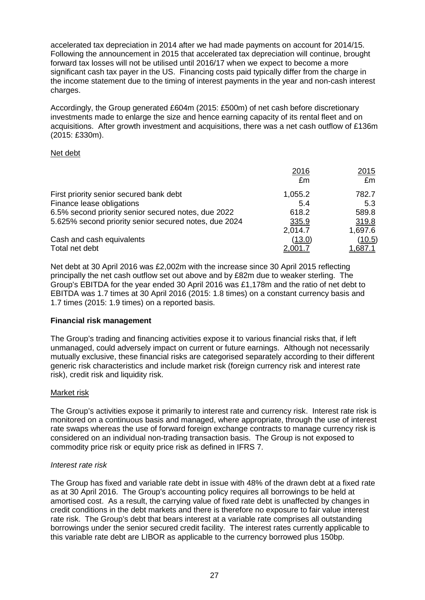accelerated tax depreciation in 2014 after we had made payments on account for 2014/15. Following the announcement in 2015 that accelerated tax depreciation will continue, brought forward tax losses will not be utilised until 2016/17 when we expect to become a more significant cash tax payer in the US. Financing costs paid typically differ from the charge in the income statement due to the timing of interest payments in the year and non-cash interest charges.

Accordingly, the Group generated £604m (2015: £500m) of net cash before discretionary investments made to enlarge the size and hence earning capacity of its rental fleet and on acquisitions. After growth investment and acquisitions, there was a net cash outflow of £136m (2015: £330m).

# Net debt

|                                                       | 2016           | <u> 2015 </u>  |
|-------------------------------------------------------|----------------|----------------|
|                                                       | £m             | £m             |
| First priority senior secured bank debt               | 1,055.2        | 782.7          |
| Finance lease obligations                             | 5.4            | 5.3            |
| 6.5% second priority senior secured notes, due 2022   | 618.2          | 589.8          |
| 5.625% second priority senior secured notes, due 2024 | 335.9          | 319.8          |
|                                                       | 2,014.7        | 1,697.6        |
| Cash and cash equivalents                             | (13.0)         | (10.5)         |
| Total net debt                                        | <u>2,001.7</u> | <u>1,687.1</u> |

Net debt at 30 April 2016 was £2,002m with the increase since 30 April 2015 reflecting principally the net cash outflow set out above and by £82m due to weaker sterling. The Group's EBITDA for the year ended 30 April 2016 was £1,178m and the ratio of net debt to EBITDA was 1.7 times at 30 April 2016 (2015: 1.8 times) on a constant currency basis and 1.7 times (2015: 1.9 times) on a reported basis.

# **Financial risk management**

The Group's trading and financing activities expose it to various financial risks that, if left unmanaged, could adversely impact on current or future earnings. Although not necessarily mutually exclusive, these financial risks are categorised separately according to their different generic risk characteristics and include market risk (foreign currency risk and interest rate risk), credit risk and liquidity risk.

# Market risk

The Group's activities expose it primarily to interest rate and currency risk. Interest rate risk is monitored on a continuous basis and managed, where appropriate, through the use of interest rate swaps whereas the use of forward foreign exchange contracts to manage currency risk is considered on an individual non-trading transaction basis. The Group is not exposed to commodity price risk or equity price risk as defined in IFRS 7.

# *Interest rate risk*

The Group has fixed and variable rate debt in issue with 48% of the drawn debt at a fixed rate as at 30 April 2016. The Group's accounting policy requires all borrowings to be held at amortised cost. As a result, the carrying value of fixed rate debt is unaffected by changes in credit conditions in the debt markets and there is therefore no exposure to fair value interest rate risk. The Group's debt that bears interest at a variable rate comprises all outstanding borrowings under the senior secured credit facility. The interest rates currently applicable to this variable rate debt are LIBOR as applicable to the currency borrowed plus 150bp.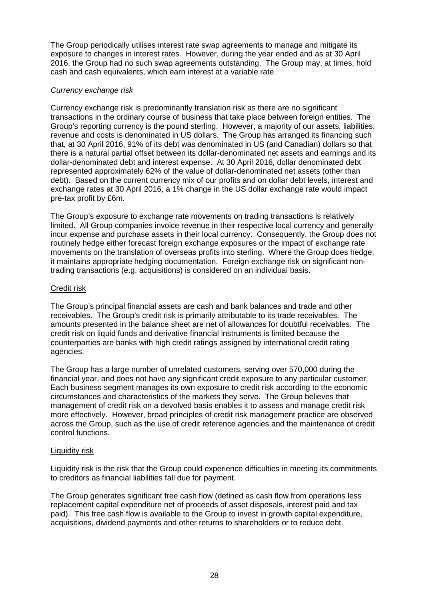The Group periodically utilises interest rate swap agreements to manage and mitigate its exposure to changes in interest rates. However, during the year ended and as at 30 April 2016, the Group had no such swap agreements outstanding. The Group may, at times, hold cash and cash equivalents, which earn interest at a variable rate.

# *Currency exchange risk*

Currency exchange risk is predominantly translation risk as there are no significant transactions in the ordinary course of business that take place between foreign entities. The Group's reporting currency is the pound sterling. However, a majority of our assets, liabilities, revenue and costs is denominated in US dollars. The Group has arranged its financing such that, at 30 April 2016, 91% of its debt was denominated in US (and Canadian) dollars so that there is a natural partial offset between its dollar-denominated net assets and earnings and its dollar-denominated debt and interest expense. At 30 April 2016, dollar denominated debt represented approximately 62% of the value of dollar-denominated net assets (other than debt). Based on the current currency mix of our profits and on dollar debt levels, interest and exchange rates at 30 April 2016, a 1% change in the US dollar exchange rate would impact pre-tax profit by £6m.

The Group's exposure to exchange rate movements on trading transactions is relatively limited. All Group companies invoice revenue in their respective local currency and generally incur expense and purchase assets in their local currency. Consequently, the Group does not routinely hedge either forecast foreign exchange exposures or the impact of exchange rate movements on the translation of overseas profits into sterling. Where the Group does hedge, it maintains appropriate hedging documentation. Foreign exchange risk on significant nontrading transactions (e.g. acquisitions) is considered on an individual basis.

# Credit risk

The Group's principal financial assets are cash and bank balances and trade and other receivables. The Group's credit risk is primarily attributable to its trade receivables. The amounts presented in the balance sheet are net of allowances for doubtful receivables. The credit risk on liquid funds and derivative financial instruments is limited because the counterparties are banks with high credit ratings assigned by international credit rating agencies.

The Group has a large number of unrelated customers, serving over 570,000 during the financial year, and does not have any significant credit exposure to any particular customer. Each business segment manages its own exposure to credit risk according to the economic circumstances and characteristics of the markets they serve. The Group believes that management of credit risk on a devolved basis enables it to assess and manage credit risk more effectively. However, broad principles of credit risk management practice are observed across the Group, such as the use of credit reference agencies and the maintenance of credit control functions.

# Liquidity risk

Liquidity risk is the risk that the Group could experience difficulties in meeting its commitments to creditors as financial liabilities fall due for payment.

The Group generates significant free cash flow (defined as cash flow from operations less replacement capital expenditure net of proceeds of asset disposals, interest paid and tax paid). This free cash flow is available to the Group to invest in growth capital expenditure, acquisitions, dividend payments and other returns to shareholders or to reduce debt.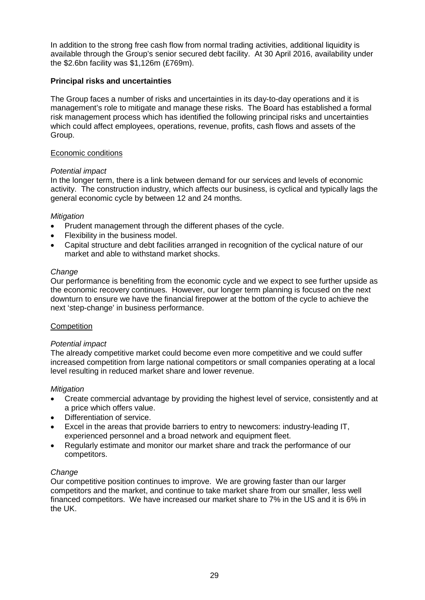In addition to the strong free cash flow from normal trading activities, additional liquidity is available through the Group's senior secured debt facility. At 30 April 2016, availability under the \$2.6bn facility was \$1,126m (£769m).

# **Principal risks and uncertainties**

The Group faces a number of risks and uncertainties in its day-to-day operations and it is management's role to mitigate and manage these risks. The Board has established a formal risk management process which has identified the following principal risks and uncertainties which could affect employees, operations, revenue, profits, cash flows and assets of the Group.

# Economic conditions

# *Potential impact*

In the longer term, there is a link between demand for our services and levels of economic activity. The construction industry, which affects our business, is cyclical and typically lags the general economic cycle by between 12 and 24 months.

# *Mitigation*

- Prudent management through the different phases of the cycle.
- Flexibility in the business model.
- Capital structure and debt facilities arranged in recognition of the cyclical nature of our market and able to withstand market shocks.

# *Change*

Our performance is benefiting from the economic cycle and we expect to see further upside as the economic recovery continues. However, our longer term planning is focused on the next downturn to ensure we have the financial firepower at the bottom of the cycle to achieve the next 'step-change' in business performance.

# **Competition**

# *Potential impact*

The already competitive market could become even more competitive and we could suffer increased competition from large national competitors or small companies operating at a local level resulting in reduced market share and lower revenue.

# *Mitigation*

- Create commercial advantage by providing the highest level of service, consistently and at a price which offers value.
- Differentiation of service.
- Excel in the areas that provide barriers to entry to newcomers: industry-leading IT, experienced personnel and a broad network and equipment fleet.
- Regularly estimate and monitor our market share and track the performance of our competitors.

# *Change*

Our competitive position continues to improve. We are growing faster than our larger competitors and the market, and continue to take market share from our smaller, less well financed competitors. We have increased our market share to 7% in the US and it is 6% in the UK.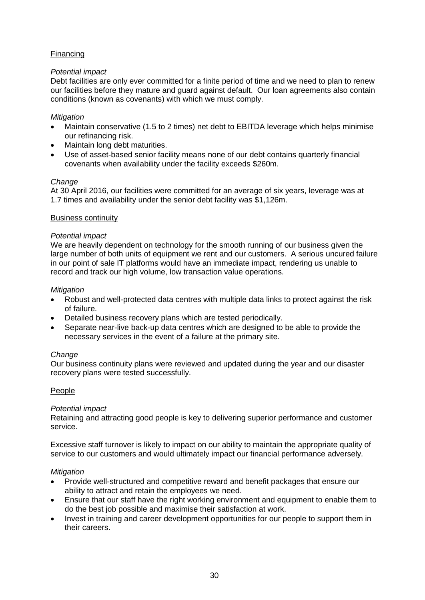# **Financing**

# *Potential impact*

Debt facilities are only ever committed for a finite period of time and we need to plan to renew our facilities before they mature and guard against default. Our loan agreements also contain conditions (known as covenants) with which we must comply.

# *Mitigation*

- Maintain conservative (1.5 to 2 times) net debt to EBITDA leverage which helps minimise our refinancing risk.
- Maintain long debt maturities.
- Use of asset-based senior facility means none of our debt contains quarterly financial covenants when availability under the facility exceeds \$260m.

# *Change*

At 30 April 2016, our facilities were committed for an average of six years, leverage was at 1.7 times and availability under the senior debt facility was \$1,126m.

# Business continuity

# *Potential impact*

We are heavily dependent on technology for the smooth running of our business given the large number of both units of equipment we rent and our customers. A serious uncured failure in our point of sale IT platforms would have an immediate impact, rendering us unable to record and track our high volume, low transaction value operations.

# *Mitigation*

- Robust and well-protected data centres with multiple data links to protect against the risk of failure.
- Detailed business recovery plans which are tested periodically.
- Separate near-live back-up data centres which are designed to be able to provide the necessary services in the event of a failure at the primary site.

# *Change*

Our business continuity plans were reviewed and updated during the year and our disaster recovery plans were tested successfully.

# People

# *Potential impact*

Retaining and attracting good people is key to delivering superior performance and customer service.

Excessive staff turnover is likely to impact on our ability to maintain the appropriate quality of service to our customers and would ultimately impact our financial performance adversely.

# *Mitigation*

- Provide well-structured and competitive reward and benefit packages that ensure our ability to attract and retain the employees we need.
- Ensure that our staff have the right working environment and equipment to enable them to do the best job possible and maximise their satisfaction at work.
- Invest in training and career development opportunities for our people to support them in their careers.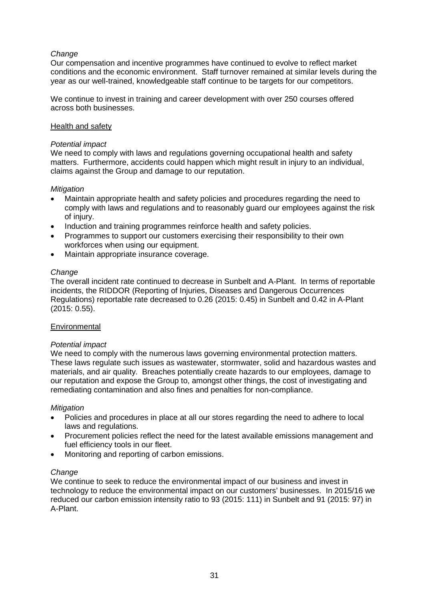# *Change*

Our compensation and incentive programmes have continued to evolve to reflect market conditions and the economic environment. Staff turnover remained at similar levels during the year as our well-trained, knowledgeable staff continue to be targets for our competitors.

We continue to invest in training and career development with over 250 courses offered across both businesses.

#### Health and safety

### *Potential impact*

We need to comply with laws and regulations governing occupational health and safety matters. Furthermore, accidents could happen which might result in injury to an individual, claims against the Group and damage to our reputation.

#### *Mitigation*

- Maintain appropriate health and safety policies and procedures regarding the need to comply with laws and regulations and to reasonably guard our employees against the risk of injury.
- Induction and training programmes reinforce health and safety policies.
- Programmes to support our customers exercising their responsibility to their own workforces when using our equipment.
- Maintain appropriate insurance coverage.

#### *Change*

The overall incident rate continued to decrease in Sunbelt and A-Plant. In terms of reportable incidents, the RIDDOR (Reporting of Injuries, Diseases and Dangerous Occurrences Regulations) reportable rate decreased to 0.26 (2015: 0.45) in Sunbelt and 0.42 in A-Plant (2015: 0.55).

#### **Environmental**

# *Potential impact*

We need to comply with the numerous laws governing environmental protection matters. These laws regulate such issues as wastewater, stormwater, solid and hazardous wastes and materials, and air quality. Breaches potentially create hazards to our employees, damage to our reputation and expose the Group to, amongst other things, the cost of investigating and remediating contamination and also fines and penalties for non-compliance.

#### *Mitigation*

- Policies and procedures in place at all our stores regarding the need to adhere to local laws and regulations.
- Procurement policies reflect the need for the latest available emissions management and fuel efficiency tools in our fleet.
- Monitoring and reporting of carbon emissions.

#### *Change*

We continue to seek to reduce the environmental impact of our business and invest in technology to reduce the environmental impact on our customers' businesses. In 2015/16 we reduced our carbon emission intensity ratio to 93 (2015: 111) in Sunbelt and 91 (2015: 97) in A-Plant.